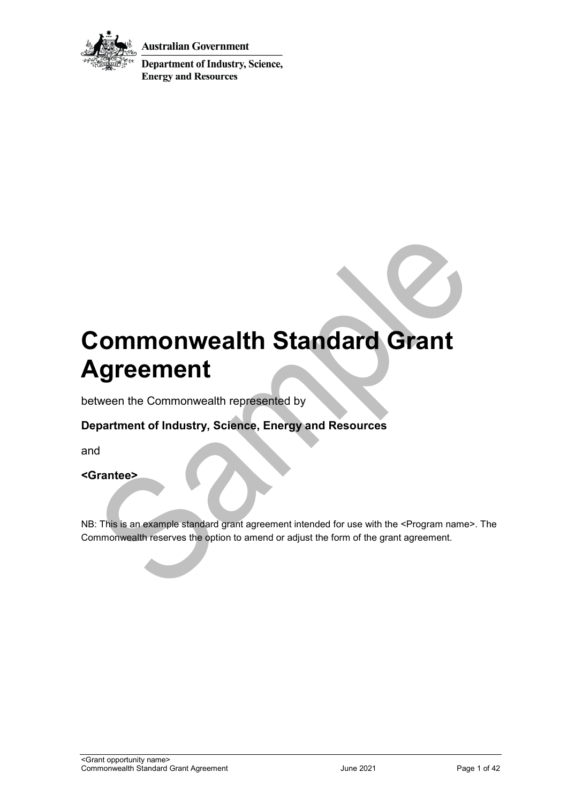

**Australian Government** 

**Department of Industry, Science, Energy and Resources** 

# **Commonwealth Standard Grant Agreement**

between the Commonwealth represented by

## **Department of Industry, Science, Energy and Resources**

and

**<Grantee>** 

NB: This is an example standard grant agreement intended for use with the <Program name>. The Commonwealth reserves the option to amend or adjust the form of the grant agreement.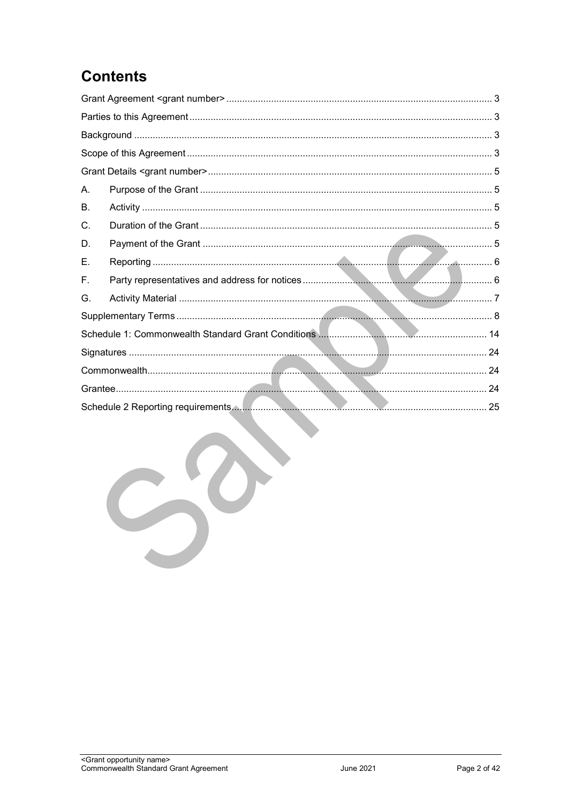## **Contents**

| Α. |  |
|----|--|
| В. |  |
| C. |  |
| D. |  |
| Е. |  |
| F. |  |
| G. |  |
|    |  |
|    |  |
|    |  |
|    |  |
|    |  |
|    |  |
|    |  |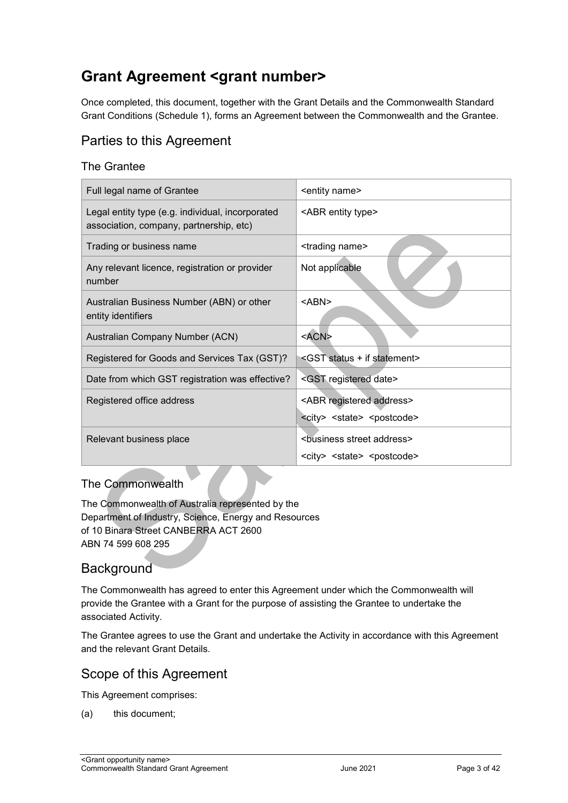## <span id="page-2-0"></span>**Grant Agreement <grant number>**

Once completed, this document, together with the Grant Details and the Commonwealth Standard Grant Conditions (Schedule 1), forms an Agreement between the Commonwealth and the Grantee.

## <span id="page-2-1"></span>Parties to this Agreement

#### The Grantee

| Full legal name of Grantee                                                                  | <entity name=""></entity>                           |
|---------------------------------------------------------------------------------------------|-----------------------------------------------------|
| Legal entity type (e.g. individual, incorporated<br>association, company, partnership, etc) | <abr entity="" type=""></abr>                       |
| Trading or business name                                                                    | <trading name=""></trading>                         |
| Any relevant licence, registration or provider<br>number                                    | Not applicable                                      |
| Australian Business Number (ABN) or other<br>entity identifiers                             | <abn></abn>                                         |
| Australian Company Number (ACN)                                                             | <acn></acn>                                         |
| Registered for Goods and Services Tax (GST)?                                                | <gst +="" if="" statement="" status=""></gst>       |
| Date from which GST registration was effective?                                             | <gst date="" registered=""></gst>                   |
| Registered office address                                                                   | <abr address="" registered=""></abr>                |
|                                                                                             | <city> <state> <postcode></postcode></state></city> |
| Relevant business place                                                                     | <business address="" street=""></business>          |
|                                                                                             | <city> <state> <postcode></postcode></state></city> |

#### The Commonwealth

The Commonwealth of Australia represented by the Department of Industry, Science, Energy and Resources of 10 Binara Street CANBERRA ACT 2600 ABN 74 599 608 295

## <span id="page-2-2"></span>**Background**

The Commonwealth has agreed to enter this Agreement under which the Commonwealth will provide the Grantee with a Grant for the purpose of assisting the Grantee to undertake the associated Activity.

The Grantee agrees to use the Grant and undertake the Activity in accordance with this Agreement and the relevant Grant Details.

## <span id="page-2-3"></span>Scope of this Agreement

This Agreement comprises:

(a) this document;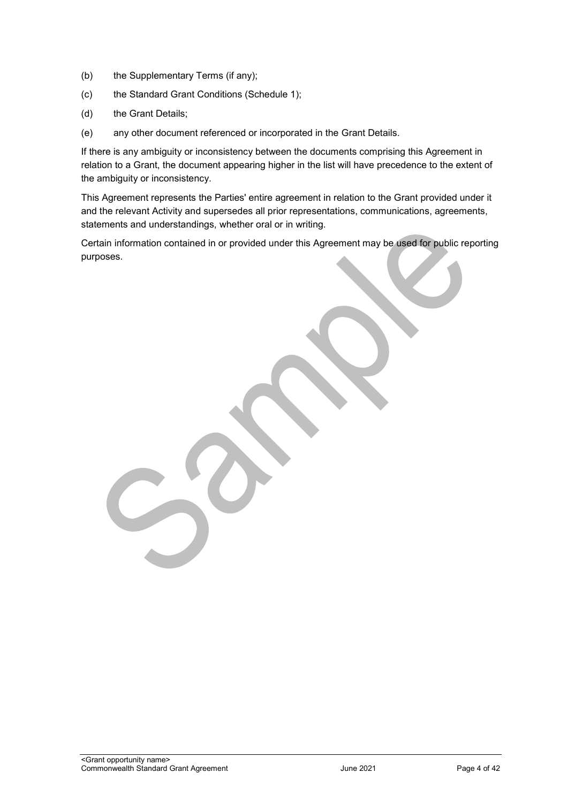- (b) the Supplementary Terms (if any);
- (c) the Standard Grant Conditions (Schedule 1);
- (d) the Grant Details;
- (e) any other document referenced or incorporated in the Grant Details.

If there is any ambiguity or inconsistency between the documents comprising this Agreement in relation to a Grant, the document appearing higher in the list will have precedence to the extent of the ambiguity or inconsistency.

This Agreement represents the Parties' entire agreement in relation to the Grant provided under it and the relevant Activity and supersedes all prior representations, communications, agreements, statements and understandings, whether oral or in writing.

Certain information contained in or provided under this Agreement may be used for public reporting purposes.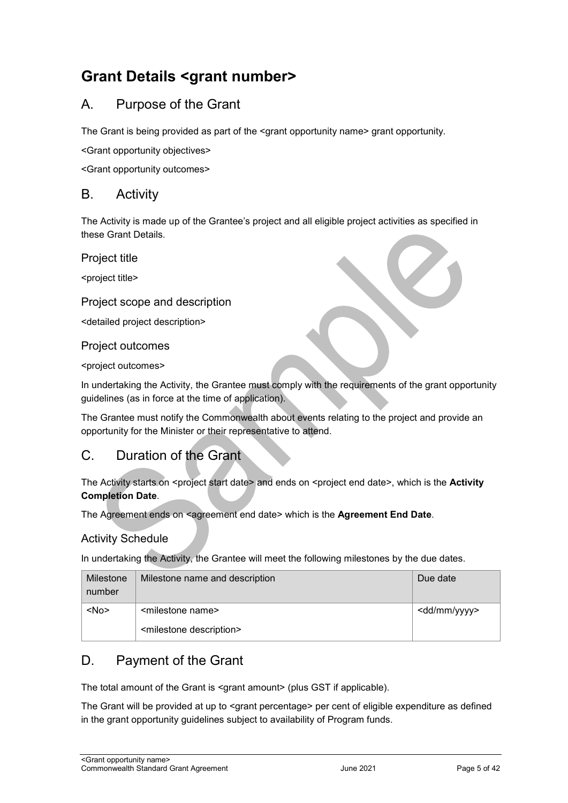## <span id="page-4-0"></span>**Grant Details <grant number>**

## <span id="page-4-1"></span>A. Purpose of the Grant

The Grant is being provided as part of the <grant opportunity name> grant opportunity.

<Grant opportunity objectives>

<Grant opportunity outcomes>

#### <span id="page-4-2"></span>B. Activity

The Activity is made up of the Grantee's project and all eligible project activities as specified in these Grant Details.

Project title

<project title>

#### Project scope and description

<detailed project description>

#### Project outcomes

<project outcomes>

In undertaking the Activity, the Grantee must comply with the requirements of the grant opportunity guidelines (as in force at the time of application).

The Grantee must notify the Commonwealth about events relating to the project and provide an opportunity for the Minister or their representative to attend.

## <span id="page-4-3"></span>C. Duration of the Grant

The Activity starts on <project start date> and ends on <project end date>, which is the Activity **Completion Date**.

The Agreement ends on <agreement end date> which is the Agreement End Date.

#### Activity Schedule

In undertaking the Activity, the Grantee will meet the following milestones by the due dates.

| Milestone<br>number | Milestone name and description         | Due date                |
|---------------------|----------------------------------------|-------------------------|
| $<$ No $>$          | <milestone name=""></milestone>        | <dd mm="" yyyy=""></dd> |
|                     | <milestone description=""></milestone> |                         |

## <span id="page-4-4"></span>D. Payment of the Grant

The total amount of the Grant is <grant amount> (plus GST if applicable).

The Grant will be provided at up to <grant percentage> per cent of eligible expenditure as defined in the grant opportunity guidelines subject to availability of Program funds.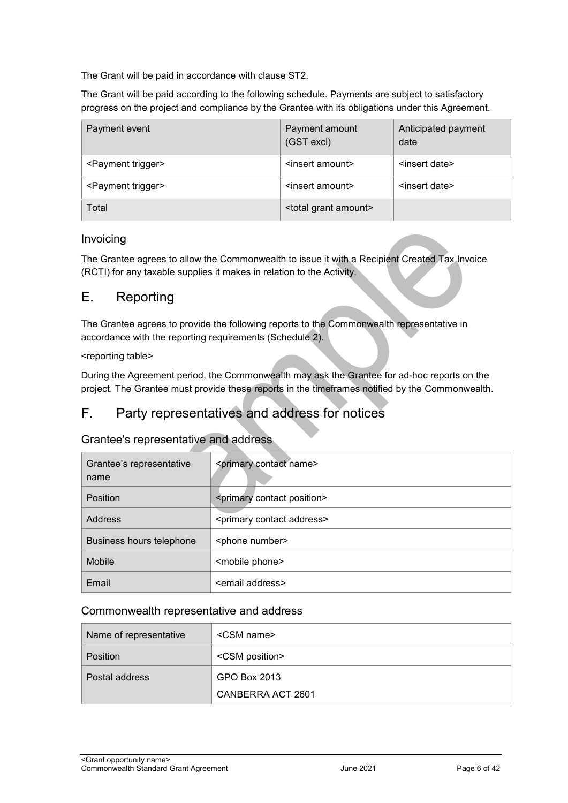The Grant will be paid in accordance with clause [ST2.](#page-7-1)

The Grant will be paid according to the following schedule. Payments are subject to satisfactory progress on the project and compliance by the Grantee with its obligations under this Agreement.

| Payment event                  | Payment amount<br>(GST excl)       | Anticipated payment<br>date |
|--------------------------------|------------------------------------|-----------------------------|
| <payment trigger=""></payment> | <insert amount=""></insert>        | <insert date=""></insert>   |
| <payment trigger=""></payment> | <insert amount=""></insert>        | <insert date=""></insert>   |
| Total                          | <total amount="" grant=""></total> |                             |

#### Invoicing

The Grantee agrees to allow the Commonwealth to issue it with a Recipient Created Tax Invoice (RCTI) for any taxable supplies it makes in relation to the Activity.

#### <span id="page-5-0"></span>E. Reporting

The Grantee agrees to provide the following reports to the Commonwealth representative in accordance with the reporting requirements (Schedule 2).

#### <reporting table>

During the Agreement period, the Commonwealth may ask the Grantee for ad-hoc reports on the project. The Grantee must provide these reports in the timeframes notified by the Commonwealth.

## <span id="page-5-1"></span>F. Party representatives and address for notices

#### Grantee's representative and address

| Grantee's representative<br>name | <primary contact="" name=""></primary>     |  |
|----------------------------------|--------------------------------------------|--|
| <b>Position</b>                  | <primary contact="" position=""></primary> |  |
| <b>Address</b>                   | <primary address="" contact=""></primary>  |  |
| Business hours telephone         | <phone number=""></phone>                  |  |
| Mobile                           | <mobile phone=""></mobile>                 |  |
| Email                            | <email address=""></email>                 |  |

#### Commonwealth representative and address

| Name of representative | <csm name=""></csm>     |
|------------------------|-------------------------|
| <b>Position</b>        | <csm position=""></csm> |
| Postal address         | GPO Box 2013            |
|                        | CANBERRA ACT 2601       |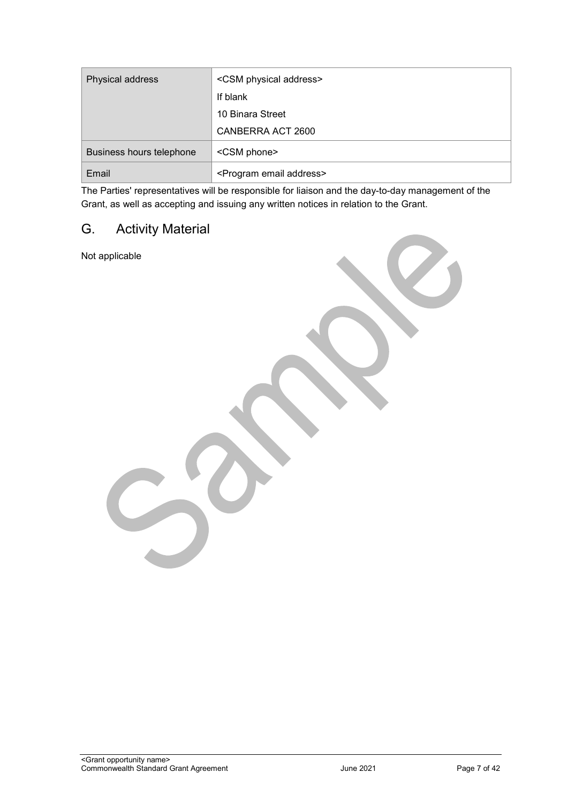| Physical address         | <csm address="" physical=""></csm>      |  |
|--------------------------|-----------------------------------------|--|
|                          | If blank                                |  |
|                          | 10 Binara Street                        |  |
|                          | CANBERRA ACT 2600                       |  |
| Business hours telephone | <csm phone=""></csm>                    |  |
| Email                    | <program address="" email=""></program> |  |

The Parties' representatives will be responsible for liaison and the day-to-day management of the Grant, as well as accepting and issuing any written notices in relation to the Grant.

## <span id="page-6-0"></span>G. Activity Material

Not applicable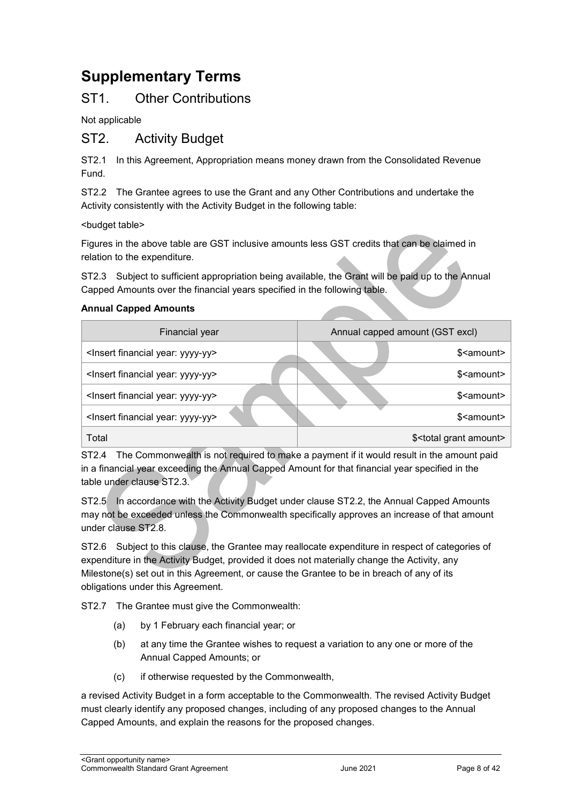## <span id="page-7-0"></span>**Supplementary Terms**

## ST1. Other Contributions

Not applicable

#### <span id="page-7-1"></span>ST2. Activity Budget

ST2.1 In this Agreement, Appropriation means money drawn from the Consolidated Revenue Fund.

ST2.2 The Grantee agrees to use the Grant and any Other Contributions and undertake the Activity consistently with the Activity Budget in the following table:

<budget table>

Figures in the above table are GST inclusive amounts less GST credits that can be claimed in relation to the expenditure.

ST2.3 Subject to sufficient appropriation being available, the Grant will be paid up to the Annual Capped Amounts over the financial years specified in the following table.

#### **Annual Capped Amounts**

| <b>Financial year</b>                              |  | Annual capped amount (GST excl) |                                       |
|----------------------------------------------------|--|---------------------------------|---------------------------------------|
| <insert financial="" year:="" yyyy-yy=""></insert> |  |                                 | \$ <amount></amount>                  |
| <insert financial="" year:="" yyyy-yy=""></insert> |  |                                 | \$ <amount></amount>                  |
| <insert financial="" year:="" yyyy-yy=""></insert> |  |                                 | \$ <amount></amount>                  |
| <insert financial="" year:="" yyyy-yy=""></insert> |  |                                 | \$ <amount></amount>                  |
| Total                                              |  |                                 | \$ <total amount="" grant=""></total> |

ST2.4 The Commonwealth is not required to make a payment if it would result in the amount paid in a financial year exceeding the Annual Capped Amount for that financial year specified in the table under clause ST2.3.

ST2.5 In accordance with the Activity Budget under clause ST2.2, the Annual Capped Amounts may not be exceeded unless the Commonwealth specifically approves an increase of that amount under clause ST2.8.

ST2.6 Subject to this clause, the Grantee may reallocate expenditure in respect of categories of expenditure in the Activity Budget, provided it does not materially change the Activity, any Milestone(s) set out in this Agreement, or cause the Grantee to be in breach of any of its obligations under this Agreement.

ST2.7 The Grantee must give the Commonwealth:

- (a) by 1 February each financial year; or
- (b) at any time the Grantee wishes to request a variation to any one or more of the Annual Capped Amounts; or
- (c) if otherwise requested by the Commonwealth,

a revised Activity Budget in a form acceptable to the Commonwealth. The revised Activity Budget must clearly identify any proposed changes, including of any proposed changes to the Annual Capped Amounts, and explain the reasons for the proposed changes.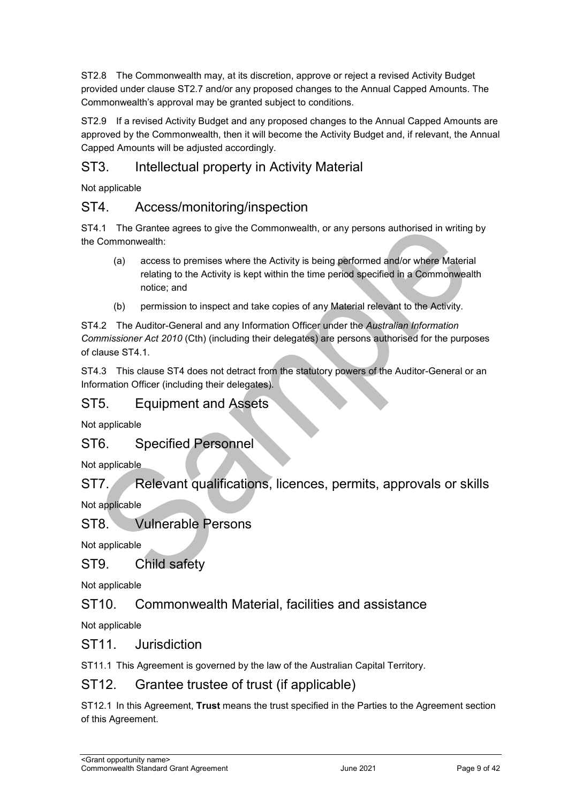ST2.8 The Commonwealth may, at its discretion, approve or reject a revised Activity Budget provided under clause ST2.7 and/or any proposed changes to the Annual Capped Amounts. The Commonwealth's approval may be granted subject to conditions.

ST2.9 If a revised Activity Budget and any proposed changes to the Annual Capped Amounts are approved by the Commonwealth, then it will become the Activity Budget and, if relevant, the Annual Capped Amounts will be adjusted accordingly.

## ST3. Intellectual property in Activity Material

Not applicable

## ST4. Access/monitoring/inspection

ST4.1 The Grantee agrees to give the Commonwealth, or any persons authorised in writing by the Commonwealth:

- (a) access to premises where the Activity is being performed and/or where Material relating to the Activity is kept within the time period specified in a Commonwealth notice; and
- (b) permission to inspect and take copies of any Material relevant to the Activity.

ST4.2 The Auditor-General and any Information Officer under the *Australian Information Commissioner Act 2010* (Cth) (including their delegates) are persons authorised for the purposes of clause ST4.1.

ST4.3 This clause ST4 does not detract from the statutory powers of the Auditor-General or an Information Officer (including their delegates).

#### ST5. Equipment and Assets

Not applicable

#### ST6. Specified Personnel

Not applicable

ST7. Relevant qualifications, licences, permits, approvals or skills

Not applicable

## ST8. Vulnerable Persons

Not applicable

## ST9. Child safety

Not applicable

## ST10. Commonwealth Material, facilities and assistance

Not applicable

#### ST11. Jurisdiction

ST11.1 This Agreement is governed by the law of the Australian Capital Territory.

#### ST12. Grantee trustee of trust (if applicable)

ST12.1 In this Agreement, **Trust** means the trust specified in the Parties to the Agreement section of this Agreement.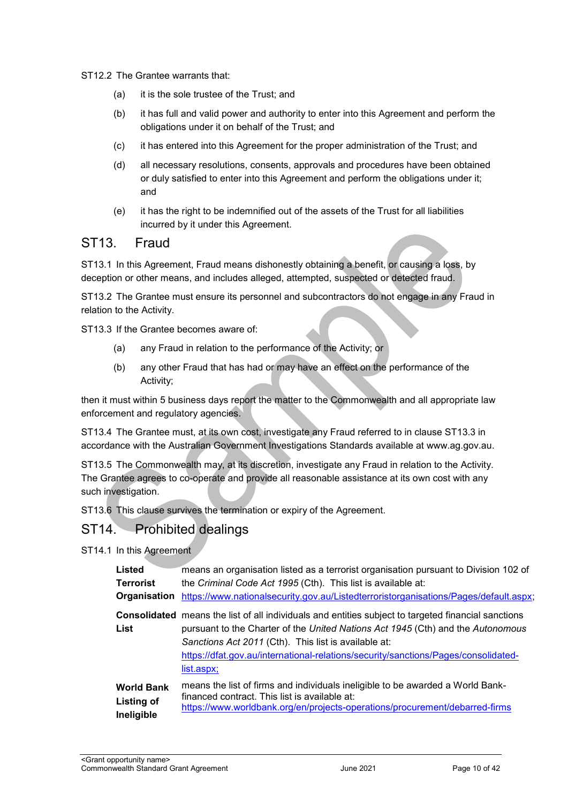#### ST12.2 The Grantee warrants that:

- (a) it is the sole trustee of the Trust; and
- (b) it has full and valid power and authority to enter into this Agreement and perform the obligations under it on behalf of the Trust; and
- (c) it has entered into this Agreement for the proper administration of the Trust; and
- (d) all necessary resolutions, consents, approvals and procedures have been obtained or duly satisfied to enter into this Agreement and perform the obligations under it; and
- (e) it has the right to be indemnified out of the assets of the Trust for all liabilities incurred by it under this Agreement.

#### ST13. Fraud

ST13.1 In this Agreement, Fraud means dishonestly obtaining a benefit, or causing a loss, by deception or other means, and includes alleged, attempted, suspected or detected fraud.

ST13.2 The Grantee must ensure its personnel and subcontractors do not engage in any Fraud in relation to the Activity.

ST13.3 If the Grantee becomes aware of:

- (a) any Fraud in relation to the performance of the Activity; or
- (b) any other Fraud that has had or may have an effect on the performance of the Activity;

then it must within 5 business days report the matter to the Commonwealth and all appropriate law enforcement and regulatory agencies.

ST13.4 The Grantee must, at its own cost, investigate any Fraud referred to in clause ST13.3 in accordance with the Australian Government Investigations Standards available at [www.ag.gov.au.](http://www.ag.gov.au/)

ST13.5 The Commonwealth may, at its discretion, investigate any Fraud in relation to the Activity. The Grantee agrees to co-operate and provide all reasonable assistance at its own cost with any such investigation.

ST13.6 This clause survives the termination or expiry of the Agreement.

#### ST14. Prohibited dealings

ST14.1 In this Agreement

| <b>Listed</b>     | means an organisation listed as a terrorist organisation pursuant to Division 102 of                                                                                                                                                                                                                                                                      |
|-------------------|-----------------------------------------------------------------------------------------------------------------------------------------------------------------------------------------------------------------------------------------------------------------------------------------------------------------------------------------------------------|
| <b>Terrorist</b>  | the Criminal Code Act 1995 (Cth). This list is available at:                                                                                                                                                                                                                                                                                              |
| Organisation      | https://www.nationalsecurity.gov.au/Listedterroristorganisations/Pages/default.aspx;                                                                                                                                                                                                                                                                      |
| List              | <b>Consolidated</b> means the list of all individuals and entities subject to targeted financial sanctions<br>pursuant to the Charter of the United Nations Act 1945 (Cth) and the Autonomous<br>Sanctions Act 2011 (Cth). This list is available at:<br>https://dfat.gov.au/international-relations/security/sanctions/Pages/consolidated-<br>list.aspx; |
| <b>World Bank</b> | means the list of firms and individuals ineligible to be awarded a World Bank-                                                                                                                                                                                                                                                                            |
| <b>Listing of</b> | financed contract. This list is available at:                                                                                                                                                                                                                                                                                                             |
| Ineligible        | https://www.worldbank.org/en/projects-operations/procurement/debarred-firms                                                                                                                                                                                                                                                                               |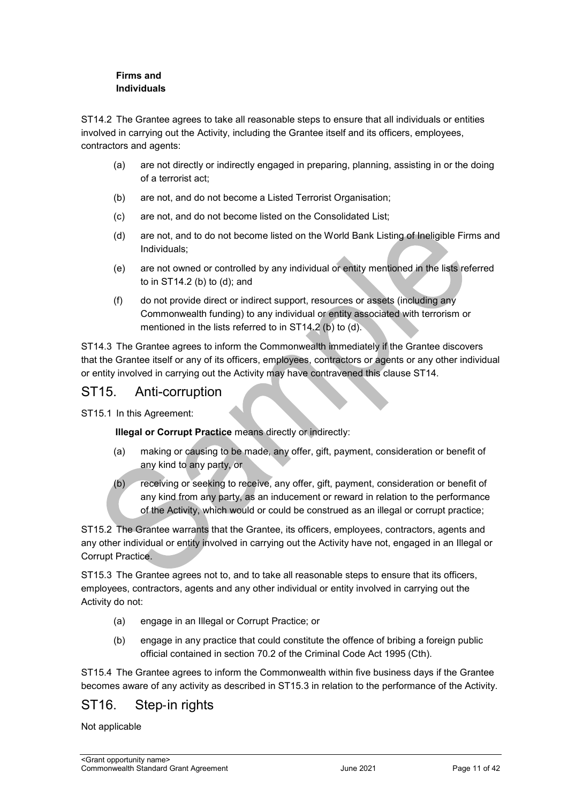#### **Firms and Individuals**

ST14.2 The Grantee agrees to take all reasonable steps to ensure that all individuals or entities involved in carrying out the Activity, including the Grantee itself and its officers, employees, contractors and agents:

- (a) are not directly or indirectly engaged in preparing, planning, assisting in or the doing of a terrorist act;
- (b) are not, and do not become a Listed Terrorist Organisation;
- (c) are not, and do not become listed on the Consolidated List;
- (d) are not, and to do not become listed on the World Bank Listing of Ineligible Firms and Individuals;
- (e) are not owned or controlled by any individual or entity mentioned in the lists referred to in ST14.2 (b) to (d); and
- (f) do not provide direct or indirect support, resources or assets (including any Commonwealth funding) to any individual or entity associated with terrorism or mentioned in the lists referred to in ST14.2 (b) to (d).

ST14.3 The Grantee agrees to inform the Commonwealth immediately if the Grantee discovers that the Grantee itself or any of its officers, employees, contractors or agents or any other individual or entity involved in carrying out the Activity may have contravened this clause ST14.

#### ST15. Anti-corruption

ST15.1 In this Agreement:

**Illegal or Corrupt Practice** means directly or indirectly:

- (a) making or causing to be made, any offer, gift, payment, consideration or benefit of any kind to any party, or
- (b) receiving or seeking to receive, any offer, gift, payment, consideration or benefit of any kind from any party, as an inducement or reward in relation to the performance of the Activity, which would or could be construed as an illegal or corrupt practice;

ST15.2 The Grantee warrants that the Grantee, its officers, employees, contractors, agents and any other individual or entity involved in carrying out the Activity have not, engaged in an Illegal or Corrupt Practice.

ST15.3 The Grantee agrees not to, and to take all reasonable steps to ensure that its officers, employees, contractors, agents and any other individual or entity involved in carrying out the Activity do not:

- (a) engage in an Illegal or Corrupt Practice; or
- (b) engage in any practice that could constitute the offence of bribing a foreign public official contained in section 70.2 of the Criminal Code Act 1995 (Cth).

ST15.4 The Grantee agrees to inform the Commonwealth within five business days if the Grantee becomes aware of any activity as described in ST15.3 in relation to the performance of the Activity.

## ST16. Step-in rights

Not applicable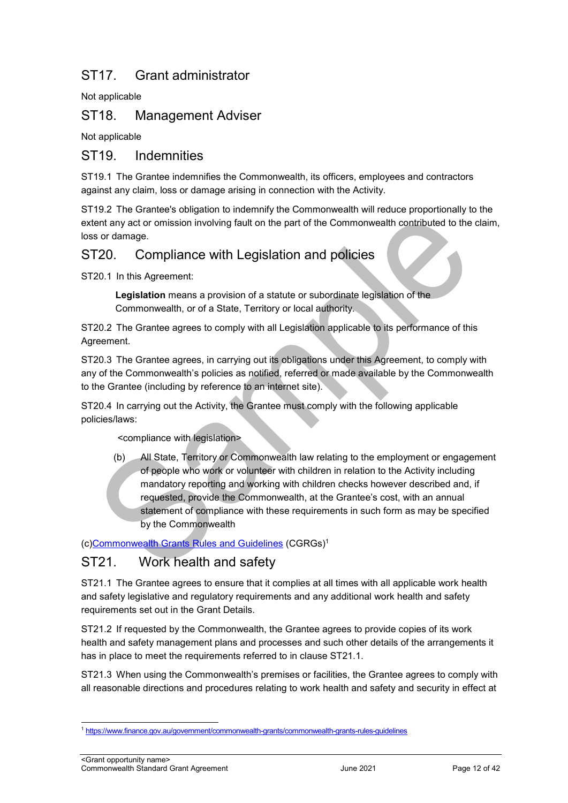## ST17. Grant administrator

Not applicable

## ST18. Management Adviser

Not applicable

#### ST19. Indemnities

ST19.1 The Grantee indemnifies the Commonwealth, its officers, employees and contractors against any claim, loss or damage arising in connection with the Activity.

ST19.2 The Grantee's obligation to indemnify the Commonwealth will reduce proportionally to the extent any act or omission involving fault on the part of the Commonwealth contributed to the claim, loss or damage.

## ST20. Compliance with Legislation and policies

ST20.1 In this Agreement:

**Legislation** means a provision of a statute or subordinate legislation of the Commonwealth, or of a State, Territory or local authority.

ST20.2 The Grantee agrees to comply with all Legislation applicable to its performance of this Agreement.

ST20.3 The Grantee agrees, in carrying out its obligations under this Agreement, to comply with any of the Commonwealth's policies as notified, referred or made available by the Commonwealth to the Grantee (including by reference to an internet site).

ST20.4 In carrying out the Activity, the Grantee must comply with the following applicable policies/laws:

<compliance with legislation>

(b) All State, Territory or Commonwealth law relating to the employment or engagement of people who work or volunteer with children in relation to the Activity including mandatory reporting and working with children checks however described and, if requested, provide the Commonwealth, at the Grantee's cost, with an annual statement of compliance with these requirements in such form as may be specified by the Commonwealth

(c[\)Commonwealth Grants Rules and Guidelines \(CGRGs\)](https://www.finance.gov.au/government/commonwealth-grants/commonwealth-grants-rules-guidelines)<sup>1</sup>

## ST21. Work health and safety

ST21.1 The Grantee agrees to ensure that it complies at all times with all applicable work health and safety legislative and regulatory requirements and any additional work health and safety requirements set out in the Grant Details.

ST21.2 If requested by the Commonwealth, the Grantee agrees to provide copies of its work health and safety management plans and processes and such other details of the arrangements it has in place to meet the requirements referred to in clause ST21.1.

ST21.3 When using the Commonwealth's premises or facilities, the Grantee agrees to comply with all reasonable directions and procedures relating to work health and safety and security in effect at

-

<sup>1</sup> <https://www.finance.gov.au/government/commonwealth-grants/commonwealth-grants-rules-guidelines>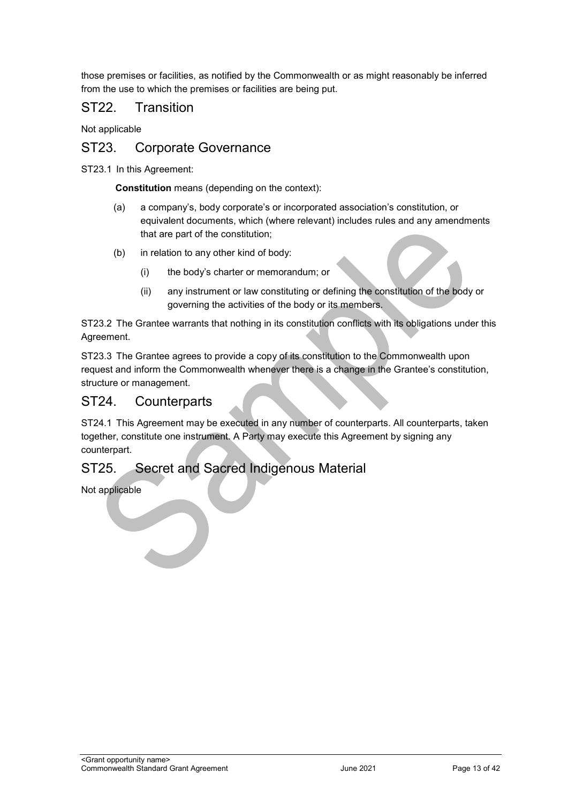those premises or facilities, as notified by the Commonwealth or as might reasonably be inferred from the use to which the premises or facilities are being put.

#### ST22. Transition

Not applicable

#### ST23. Corporate Governance

ST23.1 In this Agreement:

**Constitution** means (depending on the context):

- (a) a company's, body corporate's or incorporated association's constitution, or equivalent documents, which (where relevant) includes rules and any amendments that are part of the constitution;
- (b) in relation to any other kind of body:
	- (i) the body's charter or memorandum; or
	- (ii) any instrument or law constituting or defining the constitution of the body or governing the activities of the body or its members.

ST23.2 The Grantee warrants that nothing in its constitution conflicts with its obligations under this Agreement.

ST23.3 The Grantee agrees to provide a copy of its constitution to the Commonwealth upon request and inform the Commonwealth whenever there is a change in the Grantee's constitution, structure or management.

#### ST24. Counterparts

ST24.1 This Agreement may be executed in any number of counterparts. All counterparts, taken together, constitute one instrument. A Party may execute this Agreement by signing any counterpart.

#### ST25. Secret and Sacred Indigenous Material

<span id="page-12-0"></span>Not applicable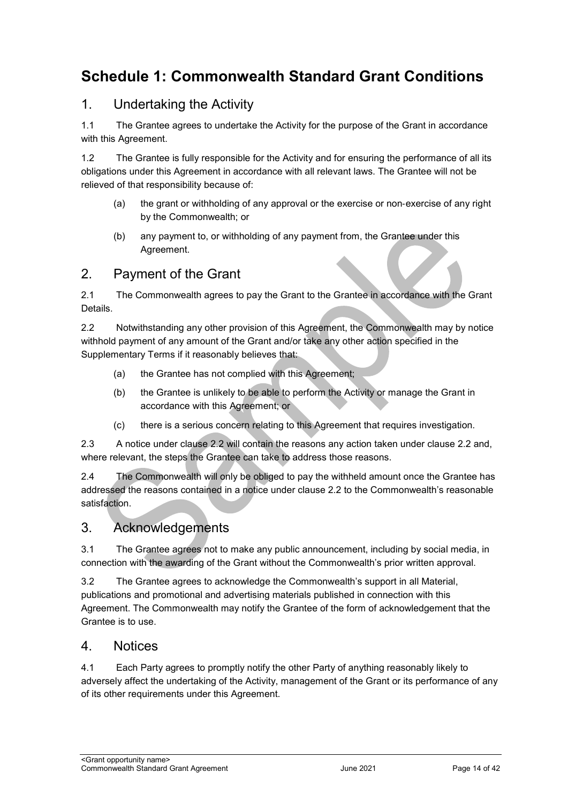## **Schedule 1: Commonwealth Standard Grant Conditions**

## 1. Undertaking the Activity

1.1 The Grantee agrees to undertake the Activity for the purpose of the Grant in accordance with this Agreement.

1.2 The Grantee is fully responsible for the Activity and for ensuring the performance of all its obligations under this Agreement in accordance with all relevant laws. The Grantee will not be relieved of that responsibility because of:

- (a) the grant or withholding of any approval or the exercise or non‐exercise of any right by the Commonwealth; or
- (b) any payment to, or withholding of any payment from, the Grantee under this Agreement.

#### 2. Payment of the Grant

2.1 The Commonwealth agrees to pay the Grant to the Grantee in accordance with the Grant Details.

2.2 Notwithstanding any other provision of this Agreement, the Commonwealth may by notice withhold payment of any amount of the Grant and/or take any other action specified in the Supplementary Terms if it reasonably believes that:

- (a) the Grantee has not complied with this Agreement;
- (b) the Grantee is unlikely to be able to perform the Activity or manage the Grant in accordance with this Agreement; or
- (c) there is a serious concern relating to this Agreement that requires investigation.

2.3 A notice under clause 2.2 will contain the reasons any action taken under clause 2.2 and, where relevant, the steps the Grantee can take to address those reasons.

2.4 The Commonwealth will only be obliged to pay the withheld amount once the Grantee has addressed the reasons contained in a notice under clause 2.2 to the Commonwealth's reasonable satisfaction.

#### 3. Acknowledgements

3.1 The Grantee agrees not to make any public announcement, including by social media, in connection with the awarding of the Grant without the Commonwealth's prior written approval.

3.2 The Grantee agrees to acknowledge the Commonwealth's support in all Material, publications and promotional and advertising materials published in connection with this Agreement. The Commonwealth may notify the Grantee of the form of acknowledgement that the Grantee is to use.

#### 4. Notices

4.1 Each Party agrees to promptly notify the other Party of anything reasonably likely to adversely affect the undertaking of the Activity, management of the Grant or its performance of any of its other requirements under this Agreement.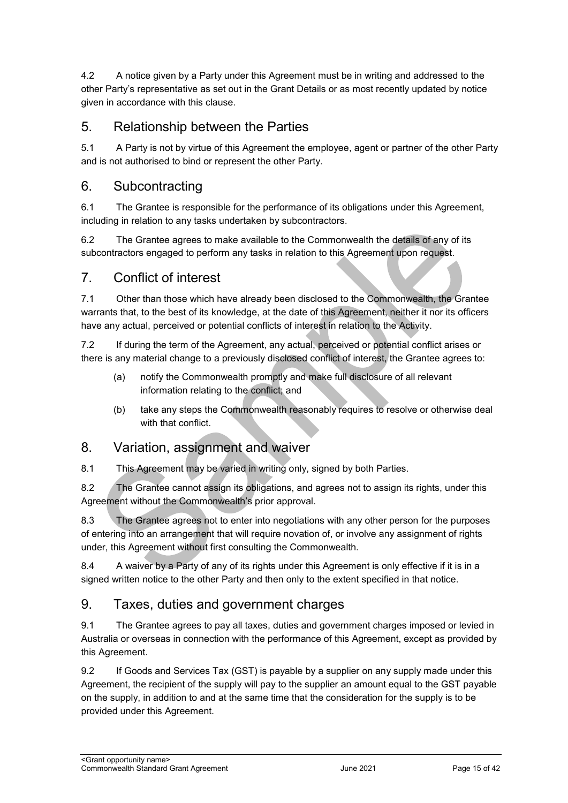4.2 A notice given by a Party under this Agreement must be in writing and addressed to the other Party's representative as set out in the Grant Details or as most recently updated by notice given in accordance with this clause.

## 5. Relationship between the Parties

5.1 A Party is not by virtue of this Agreement the employee, agent or partner of the other Party and is not authorised to bind or represent the other Party.

#### 6. Subcontracting

6.1 The Grantee is responsible for the performance of its obligations under this Agreement, including in relation to any tasks undertaken by subcontractors.

6.2 The Grantee agrees to make available to the Commonwealth the details of any of its subcontractors engaged to perform any tasks in relation to this Agreement upon request.

#### 7. Conflict of interest

7.1 Other than those which have already been disclosed to the Commonwealth, the Grantee warrants that, to the best of its knowledge, at the date of this Agreement, neither it nor its officers have any actual, perceived or potential conflicts of interest in relation to the Activity.

7.2 If during the term of the Agreement, any actual, perceived or potential conflict arises or there is any material change to a previously disclosed conflict of interest, the Grantee agrees to:

- (a) notify the Commonwealth promptly and make full disclosure of all relevant information relating to the conflict; and
- (b) take any steps the Commonwealth reasonably requires to resolve or otherwise deal with that conflict.

#### 8. Variation, assignment and waiver

8.1 This Agreement may be varied in writing only, signed by both Parties.

8.2 The Grantee cannot assign its obligations, and agrees not to assign its rights, under this Agreement without the Commonwealth's prior approval.

8.3 The Grantee agrees not to enter into negotiations with any other person for the purposes of entering into an arrangement that will require novation of, or involve any assignment of rights under, this Agreement without first consulting the Commonwealth.

8.4 A waiver by a Party of any of its rights under this Agreement is only effective if it is in a signed written notice to the other Party and then only to the extent specified in that notice.

## 9. Taxes, duties and government charges

9.1 The Grantee agrees to pay all taxes, duties and government charges imposed or levied in Australia or overseas in connection with the performance of this Agreement, except as provided by this Agreement.

9.2 If Goods and Services Tax (GST) is payable by a supplier on any supply made under this Agreement, the recipient of the supply will pay to the supplier an amount equal to the GST payable on the supply, in addition to and at the same time that the consideration for the supply is to be provided under this Agreement.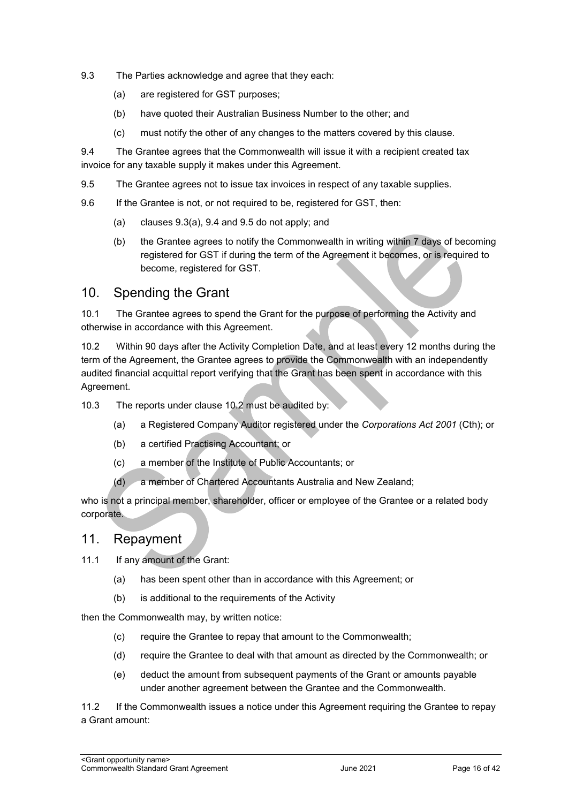- 9.3 The Parties acknowledge and agree that they each:
	- (a) are registered for GST purposes;
	- (b) have quoted their Australian Business Number to the other; and
	- (c) must notify the other of any changes to the matters covered by this clause.

9.4 The Grantee agrees that the Commonwealth will issue it with a recipient created tax invoice for any taxable supply it makes under this Agreement.

- 9.5 The Grantee agrees not to issue tax invoices in respect of any taxable supplies.
- 9.6 If the Grantee is not, or not required to be, registered for GST, then:
	- (a) clauses 9.3(a), 9.4 and 9.5 do not apply; and
	- (b) the Grantee agrees to notify the Commonwealth in writing within 7 days of becoming registered for GST if during the term of the Agreement it becomes, or is required to become, registered for GST.

#### 10. Spending the Grant

10.1 The Grantee agrees to spend the Grant for the purpose of performing the Activity and otherwise in accordance with this Agreement.

10.2 Within 90 days after the Activity Completion Date, and at least every 12 months during the term of the Agreement, the Grantee agrees to provide the Commonwealth with an independently audited financial acquittal report verifying that the Grant has been spent in accordance with this Agreement.

- 10.3 The reports under clause 10.2 must be audited by:
	- (a) a Registered Company Auditor registered under the *Corporations Act 2001* (Cth); or
	- (b) a certified Practising Accountant; or
	- (c) a member of the Institute of Public Accountants; or
	- (d) a member of Chartered Accountants Australia and New Zealand;

who is not a principal member, shareholder, officer or employee of the Grantee or a related body corporate.

#### 11. Repayment

11.1 If any amount of the Grant:

- (a) has been spent other than in accordance with this Agreement; or
- (b) is additional to the requirements of the Activity

then the Commonwealth may, by written notice:

- (c) require the Grantee to repay that amount to the Commonwealth;
- (d) require the Grantee to deal with that amount as directed by the Commonwealth; or
- (e) deduct the amount from subsequent payments of the Grant or amounts payable under another agreement between the Grantee and the Commonwealth.

11.2 If the Commonwealth issues a notice under this Agreement requiring the Grantee to repay a Grant amount: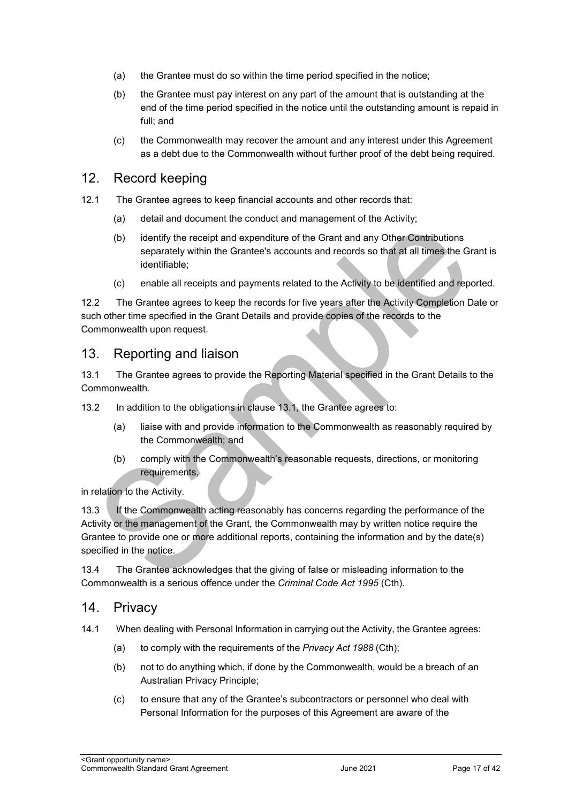- (a) the Grantee must do so within the time period specified in the notice;
- (b) the Grantee must pay interest on any part of the amount that is outstanding at the end of the time period specified in the notice until the outstanding amount is repaid in full; and
- (c) the Commonwealth may recover the amount and any interest under this Agreement as a debt due to the Commonwealth without further proof of the debt being required.

#### 12. Record keeping

- 12.1 The Grantee agrees to keep financial accounts and other records that:
	- (a) detail and document the conduct and management of the Activity;
	- (b) identify the receipt and expenditure of the Grant and any Other Contributions separately within the Grantee's accounts and records so that at all times the Grant is identifiable;
	- (c) enable all receipts and payments related to the Activity to be identified and reported.

12.2 The Grantee agrees to keep the records for five years after the Activity Completion Date or such other time specified in the Grant Details and provide copies of the records to the Commonwealth upon request.

#### 13. Reporting and liaison

13.1 The Grantee agrees to provide the Reporting Material specified in the Grant Details to the Commonwealth.

13.2 In addition to the obligations in clause 13.1, the Grantee agrees to:

- (a) liaise with and provide information to the Commonwealth as reasonably required by the Commonwealth; and
- (b) comply with the Commonwealth's reasonable requests, directions, or monitoring requirements,

in relation to the Activity.

13.3 If the Commonwealth acting reasonably has concerns regarding the performance of the Activity or the management of the Grant, the Commonwealth may by written notice require the Grantee to provide one or more additional reports, containing the information and by the date(s) specified in the notice.

13.4 The Grantee acknowledges that the giving of false or misleading information to the Commonwealth is a serious offence under the *Criminal Code Act 1995* (Cth).

#### 14. Privacy

- 14.1 When dealing with Personal Information in carrying out the Activity, the Grantee agrees:
	- (a) to comply with the requirements of the *Privacy Act 1988* (Cth);
	- (b) not to do anything which, if done by the Commonwealth, would be a breach of an Australian Privacy Principle;
	- (c) to ensure that any of the Grantee's subcontractors or personnel who deal with Personal Information for the purposes of this Agreement are aware of the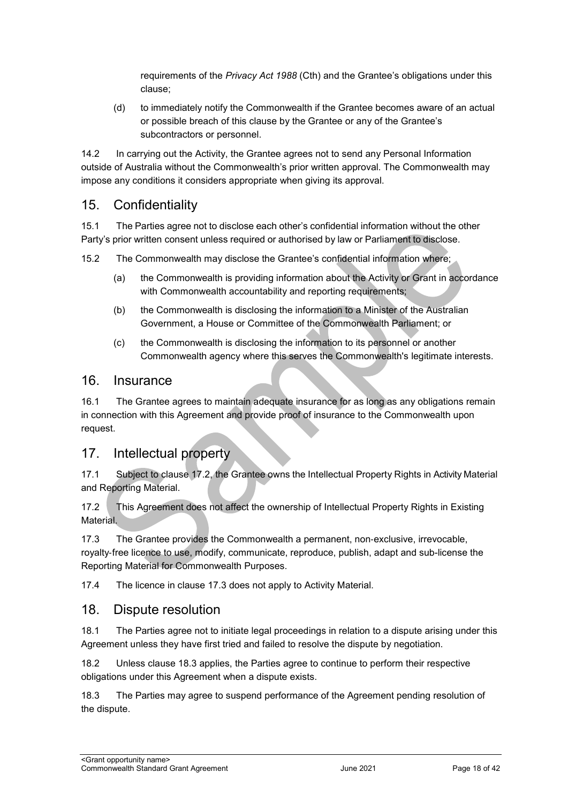requirements of the *Privacy Act 1988* (Cth) and the Grantee's obligations under this clause;

(d) to immediately notify the Commonwealth if the Grantee becomes aware of an actual or possible breach of this clause by the Grantee or any of the Grantee's subcontractors or personnel.

14.2 In carrying out the Activity, the Grantee agrees not to send any Personal Information outside of Australia without the Commonwealth's prior written approval. The Commonwealth may impose any conditions it considers appropriate when giving its approval.

## 15. Confidentiality

15.1 The Parties agree not to disclose each other's confidential information without the other Party's prior written consent unless required or authorised by law or Parliament to disclose.

15.2 The Commonwealth may disclose the Grantee's confidential information where;

- (a) the Commonwealth is providing information about the Activity or Grant in accordance with Commonwealth accountability and reporting requirements;
- (b) the Commonwealth is disclosing the information to a Minister of the Australian Government, a House or Committee of the Commonwealth Parliament; or
- (c) the Commonwealth is disclosing the information to its personnel or another Commonwealth agency where this serves the Commonwealth's legitimate interests.

#### 16. Insurance

16.1 The Grantee agrees to maintain adequate insurance for as long as any obligations remain in connection with this Agreement and provide proof of insurance to the Commonwealth upon request.

## 17. Intellectual property

17.1 Subject to clause 17.2, the Grantee owns the Intellectual Property Rights in Activity Material and Reporting Material.

17.2 This Agreement does not affect the ownership of Intellectual Property Rights in Existing **Material** 

17.3 The Grantee provides the Commonwealth a permanent, non-exclusive, irrevocable, royalty‐free licence to use, modify, communicate, reproduce, publish, adapt and sub-license the Reporting Material for Commonwealth Purposes.

17.4 The licence in clause 17.3 does not apply to Activity Material.

#### 18. Dispute resolution

18.1 The Parties agree not to initiate legal proceedings in relation to a dispute arising under this Agreement unless they have first tried and failed to resolve the dispute by negotiation.

18.2 Unless clause 18.3 applies, the Parties agree to continue to perform their respective obligations under this Agreement when a dispute exists.

18.3 The Parties may agree to suspend performance of the Agreement pending resolution of the dispute.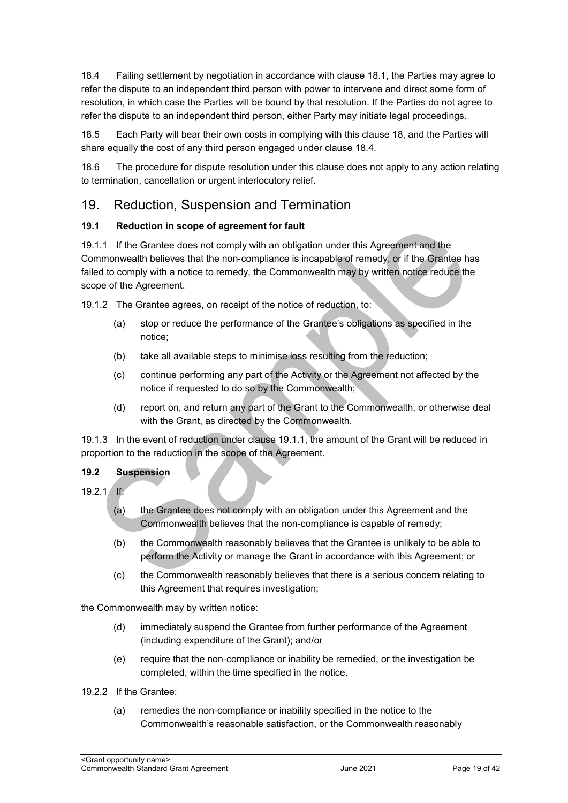18.4 Failing settlement by negotiation in accordance with clause 18.1, the Parties may agree to refer the dispute to an independent third person with power to intervene and direct some form of resolution, in which case the Parties will be bound by that resolution. If the Parties do not agree to refer the dispute to an independent third person, either Party may initiate legal proceedings.

18.5 Each Party will bear their own costs in complying with this clause 18, and the Parties will share equally the cost of any third person engaged under clause 18.4.

18.6 The procedure for dispute resolution under this clause does not apply to any action relating to termination, cancellation or urgent interlocutory relief.

#### 19. Reduction, Suspension and Termination

#### **19.1 Reduction in scope of agreement for fault**

19.1.1 If the Grantee does not comply with an obligation under this Agreement and the Commonwealth believes that the non‐compliance is incapable of remedy, or if the Grantee has failed to comply with a notice to remedy, the Commonwealth may by written notice reduce the scope of the Agreement.

19.1.2 The Grantee agrees, on receipt of the notice of reduction, to:

- (a) stop or reduce the performance of the Grantee's obligations as specified in the notice;
- (b) take all available steps to minimise loss resulting from the reduction;
- (c) continue performing any part of the Activity or the Agreement not affected by the notice if requested to do so by the Commonwealth;
- (d) report on, and return any part of the Grant to the Commonwealth, or otherwise deal with the Grant, as directed by the Commonwealth.

19.1.3 In the event of reduction under clause 19.1.1, the amount of the Grant will be reduced in proportion to the reduction in the scope of the Agreement.

#### **19.2 Suspension**

 $19.21$  If:

- (a) the Grantee does not comply with an obligation under this Agreement and the Commonwealth believes that the non‐compliance is capable of remedy;
- (b) the Commonwealth reasonably believes that the Grantee is unlikely to be able to perform the Activity or manage the Grant in accordance with this Agreement; or
- (c) the Commonwealth reasonably believes that there is a serious concern relating to this Agreement that requires investigation;

the Commonwealth may by written notice:

- (d) immediately suspend the Grantee from further performance of the Agreement (including expenditure of the Grant); and/or
- (e) require that the non‐compliance or inability be remedied, or the investigation be completed, within the time specified in the notice.
- 19.2.2 If the Grantee:
	- (a) remedies the non‐compliance or inability specified in the notice to the Commonwealth's reasonable satisfaction, or the Commonwealth reasonably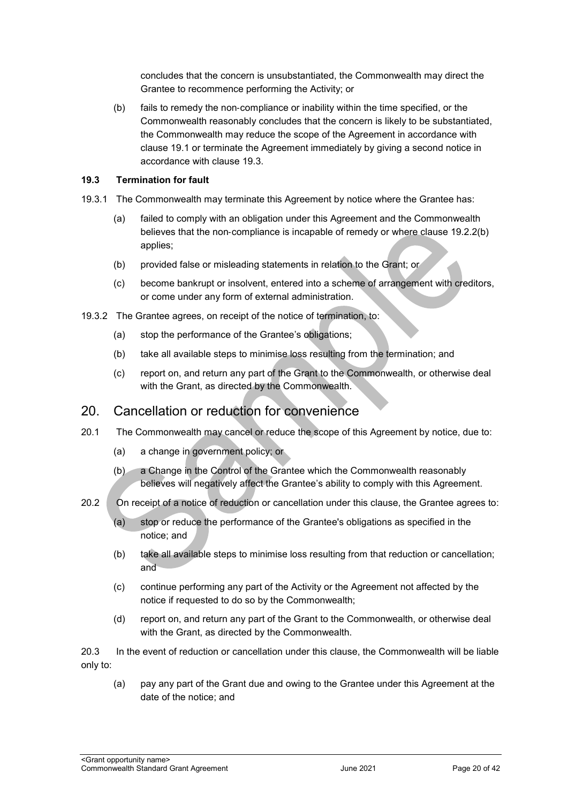concludes that the concern is unsubstantiated, the Commonwealth may direct the Grantee to recommence performing the Activity; or

(b) fails to remedy the non‐compliance or inability within the time specified, or the Commonwealth reasonably concludes that the concern is likely to be substantiated, the Commonwealth may reduce the scope of the Agreement in accordance with clause 19.1 or terminate the Agreement immediately by giving a second notice in accordance with clause 19.3.

#### **19.3 Termination for fault**

- 19.3.1 The Commonwealth may terminate this Agreement by notice where the Grantee has:
	- (a) failed to comply with an obligation under this Agreement and the Commonwealth believes that the non-compliance is incapable of remedy or where clause 19.2.2(b) applies;
	- (b) provided false or misleading statements in relation to the Grant; or
	- (c) become bankrupt or insolvent, entered into a scheme of arrangement with creditors, or come under any form of external administration.
- 19.3.2 The Grantee agrees, on receipt of the notice of termination, to:
	- (a) stop the performance of the Grantee's obligations;
	- (b) take all available steps to minimise loss resulting from the termination; and
	- (c) report on, and return any part of the Grant to the Commonwealth, or otherwise deal with the Grant, as directed by the Commonwealth.

#### 20. Cancellation or reduction for convenience

- 20.1 The Commonwealth may cancel or reduce the scope of this Agreement by notice, due to:
	- (a) a change in government policy; or
	- (b) a Change in the Control of the Grantee which the Commonwealth reasonably believes will negatively affect the Grantee's ability to comply with this Agreement.
- 20.2 On receipt of a notice of reduction or cancellation under this clause, the Grantee agrees to:
	- (a) stop or reduce the performance of the Grantee's obligations as specified in the notice; and
	- (b) take all available steps to minimise loss resulting from that reduction or cancellation; and
	- (c) continue performing any part of the Activity or the Agreement not affected by the notice if requested to do so by the Commonwealth;
	- (d) report on, and return any part of the Grant to the Commonwealth, or otherwise deal with the Grant, as directed by the Commonwealth.

20.3 In the event of reduction or cancellation under this clause, the Commonwealth will be liable only to:

(a) pay any part of the Grant due and owing to the Grantee under this Agreement at the date of the notice; and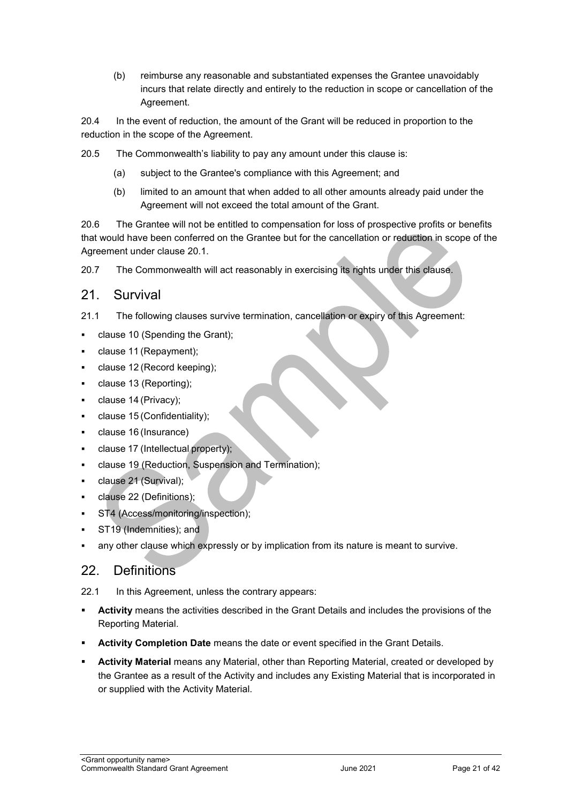(b) reimburse any reasonable and substantiated expenses the Grantee unavoidably incurs that relate directly and entirely to the reduction in scope or cancellation of the Agreement.

20.4 In the event of reduction, the amount of the Grant will be reduced in proportion to the reduction in the scope of the Agreement.

20.5 The Commonwealth's liability to pay any amount under this clause is:

- (a) subject to the Grantee's compliance with this Agreement; and
- (b) limited to an amount that when added to all other amounts already paid under the Agreement will not exceed the total amount of the Grant.

20.6 The Grantee will not be entitled to compensation for loss of prospective profits or benefits that would have been conferred on the Grantee but for the cancellation or reduction in scope of the Agreement under clause 20.1.

20.7 The Commonwealth will act reasonably in exercising its rights under this clause.

#### 21. Survival

- 21.1 The following clauses survive termination, cancellation or expiry of this Agreement:
- clause 10 (Spending the Grant);
- clause 11 (Repayment);
- clause 12 (Record keeping);
- clause 13 (Reporting);
- clause 14 (Privacy);
- clause 15 (Confidentiality);
- clause 16 (Insurance)
- clause 17 (Intellectual property);
- clause 19 (Reduction, Suspension and Termination);
- clause 21 (Survival);
- clause 22 (Definitions);
- ST4 (Access/monitoring/inspection);
- ST19 (Indemnities); and
- any other clause which expressly or by implication from its nature is meant to survive.

#### 22. Definitions

22.1 In this Agreement, unless the contrary appears:

- **Activity** means the activities described in the Grant Details and includes the provisions of the Reporting Material.
- **Activity Completion Date** means the date or event specified in the Grant Details.
- **Activity Material** means any Material, other than Reporting Material, created or developed by the Grantee as a result of the Activity and includes any Existing Material that is incorporated in or supplied with the Activity Material.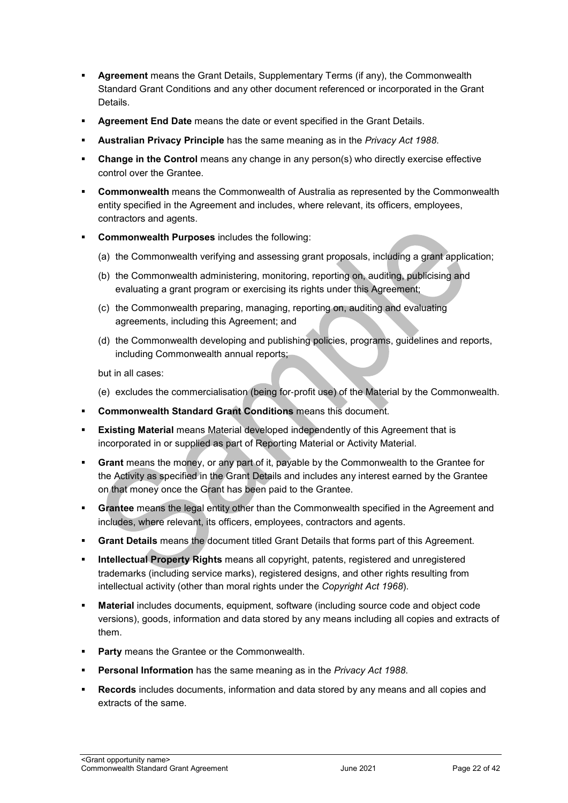- **Agreement** means the Grant Details, Supplementary Terms (if any), the Commonwealth Standard Grant Conditions and any other document referenced or incorporated in the Grant Details.
- **Agreement End Date** means the date or event specified in the Grant Details.
- **Australian Privacy Principle** has the same meaning as in the *Privacy Act 1988*.
- **Change in the Control** means any change in any person(s) who directly exercise effective control over the Grantee.
- **Commonwealth** means the Commonwealth of Australia as represented by the Commonwealth entity specified in the Agreement and includes, where relevant, its officers, employees, contractors and agents.
- **Commonwealth Purposes** includes the following:
	- (a) the Commonwealth verifying and assessing grant proposals, including a grant application;
	- (b) the Commonwealth administering, monitoring, reporting on, auditing, publicising and evaluating a grant program or exercising its rights under this Agreement;
	- (c) the Commonwealth preparing, managing, reporting on, auditing and evaluating agreements, including this Agreement; and
	- (d) the Commonwealth developing and publishing policies, programs, guidelines and reports, including Commonwealth annual reports;

but in all cases:

- (e) excludes the commercialisation (being for‐profit use) of the Material by the Commonwealth.
- **Commonwealth Standard Grant Conditions** means this document.
- **Existing Material** means Material developed independently of this Agreement that is incorporated in or supplied as part of Reporting Material or Activity Material.
- **Grant** means the money, or any part of it, payable by the Commonwealth to the Grantee for the Activity as specified in the Grant Details and includes any interest earned by the Grantee on that money once the Grant has been paid to the Grantee.
- **Grantee** means the legal entity other than the Commonwealth specified in the Agreement and includes, where relevant, its officers, employees, contractors and agents.
- **Grant Details** means the document titled Grant Details that forms part of this Agreement.
- **Intellectual Property Rights** means all copyright, patents, registered and unregistered trademarks (including service marks), registered designs, and other rights resulting from intellectual activity (other than moral rights under the *Copyright Act 1968*).
- **Material** includes documents, equipment, software (including source code and object code versions), goods, information and data stored by any means including all copies and extracts of them.
- **Party** means the Grantee or the Commonwealth.
- **Personal Information** has the same meaning as in the *Privacy Act 1988*.
- **Records** includes documents, information and data stored by any means and all copies and extracts of the same.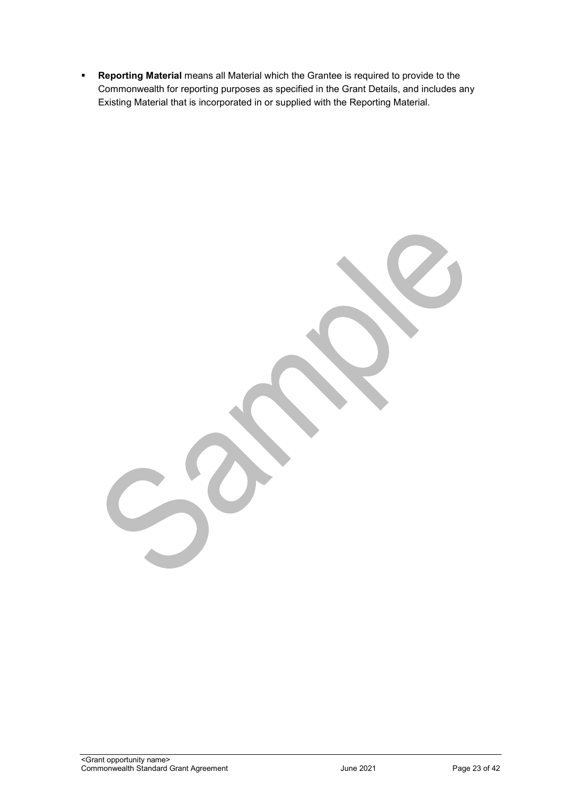**Reporting Material** means all Material which the Grantee is required to provide to the Commonwealth for reporting purposes as specified in the Grant Details, and includes any Existing Material that is incorporated in or supplied with the Reporting Material.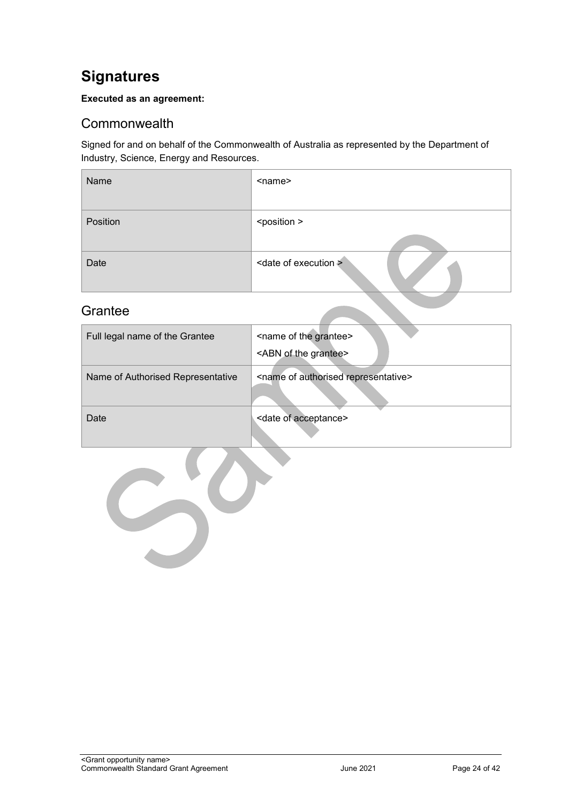## <span id="page-23-0"></span>**Signatures**

#### **Executed as an agreement:**

#### <span id="page-23-1"></span>**Commonwealth**

Signed for and on behalf of the Commonwealth of Australia as represented by the Department of Industry, Science, Energy and Resources.

| Name     | <name></name>                    |
|----------|----------------------------------|
| Position | <position></position>            |
| Date     | <date execution="" of=""></date> |

## <span id="page-23-2"></span>Grantee

| Full legal name of the Grantee    | <name grantee="" of="" the=""><br/><abn grantee="" of="" the=""></abn></name> |
|-----------------------------------|-------------------------------------------------------------------------------|
| Name of Authorised Representative | <name authorised="" of="" representative=""></name>                           |
| Date                              | <date acceptance="" of=""></date>                                             |

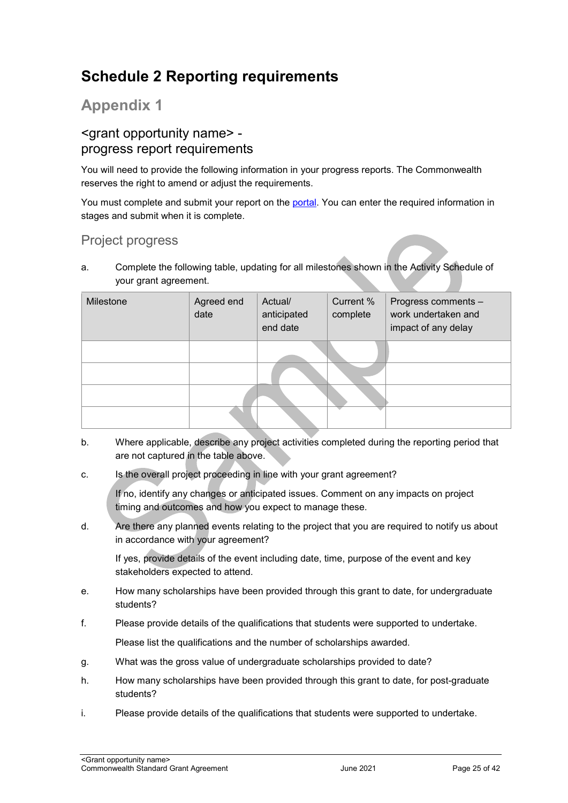## <span id="page-24-0"></span>**Schedule 2 Reporting requirements**

## **Appendix 1**

#### <grant opportunity name> progress report requirements

You will need to provide the following information in your progress reports. The Commonwealth reserves the right to amend or adjust the requirements.

You must complete and submit your report on the [portal.](https://portal.business.gov.au/) You can enter the required information in stages and submit when it is complete.

## Project progress

a. Complete the following table, updating for all milestones shown in the Activity Schedule of your grant agreement.

| Milestone | Agreed end<br>date | Actual/<br>anticipated<br>end date | Current %<br>complete | Progress comments -<br>work undertaken and<br>impact of any delay |
|-----------|--------------------|------------------------------------|-----------------------|-------------------------------------------------------------------|
|           |                    |                                    |                       |                                                                   |
|           |                    |                                    |                       |                                                                   |

- b. Where applicable, describe any project activities completed during the reporting period that are not captured in the table above.
- c. Is the overall project proceeding in line with your grant agreement?

If no, identify any changes or anticipated issues. Comment on any impacts on project timing and outcomes and how you expect to manage these.

d. Are there any planned events relating to the project that you are required to notify us about in accordance with your agreement?

If yes, provide details of the event including date, time, purpose of the event and key stakeholders expected to attend.

- e. How many scholarships have been provided through this grant to date, for undergraduate students?
- f. Please provide details of the qualifications that students were supported to undertake. Please list the qualifications and the number of scholarships awarded.
- g. What was the gross value of undergraduate scholarships provided to date?
- h. How many scholarships have been provided through this grant to date, for post-graduate students?
- i. Please provide details of the qualifications that students were supported to undertake.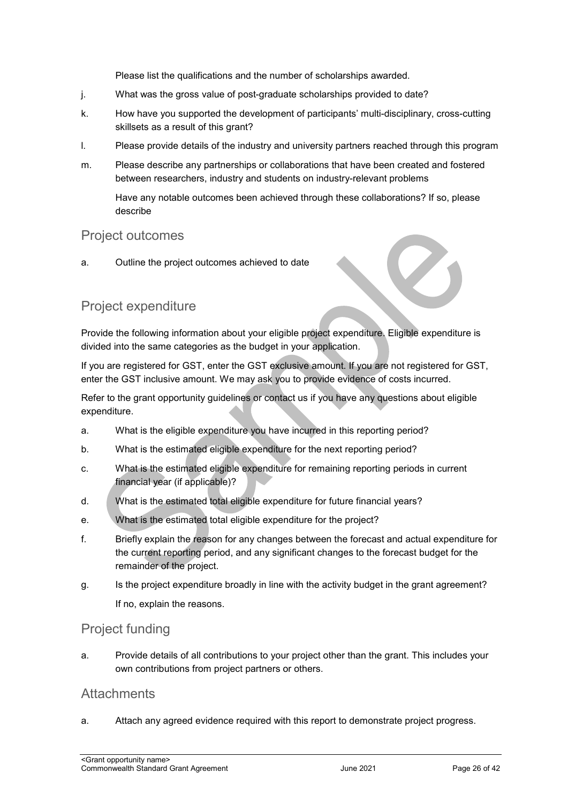Please list the qualifications and the number of scholarships awarded.

- j. What was the gross value of post-graduate scholarships provided to date?
- k. How have you supported the development of participants' multi-disciplinary, cross-cutting skillsets as a result of this grant?
- l. Please provide details of the industry and university partners reached through this program
- m. Please describe any partnerships or collaborations that have been created and fostered between researchers, industry and students on industry-relevant problems

Have any notable outcomes been achieved through these collaborations? If so, please describe

#### Project outcomes

a. Outline the project outcomes achieved to date

#### Project expenditure

Provide the following information about your eligible project expenditure. Eligible expenditure is divided into the same categories as the budget in your application.

If you are registered for GST, enter the GST exclusive amount. If you are not registered for GST, enter the GST inclusive amount. We may ask you to provide evidence of costs incurred.

Refer to the grant opportunity guidelines or contact us if you have any questions about eligible expenditure.

- a. What is the eligible expenditure you have incurred in this reporting period?
- b. What is the estimated eligible expenditure for the next reporting period?
- c. What is the estimated eligible expenditure for remaining reporting periods in current financial year (if applicable)?
- d. What is the estimated total eligible expenditure for future financial years?
- e. What is the estimated total eligible expenditure for the project?
- f. Briefly explain the reason for any changes between the forecast and actual expenditure for the current reporting period, and any significant changes to the forecast budget for the remainder of the project.
- g. Is the project expenditure broadly in line with the activity budget in the grant agreement? If no, explain the reasons.

#### Project funding

a. Provide details of all contributions to your project other than the grant. This includes your own contributions from project partners or others.

#### **Attachments**

a. Attach any agreed evidence required with this report to demonstrate project progress.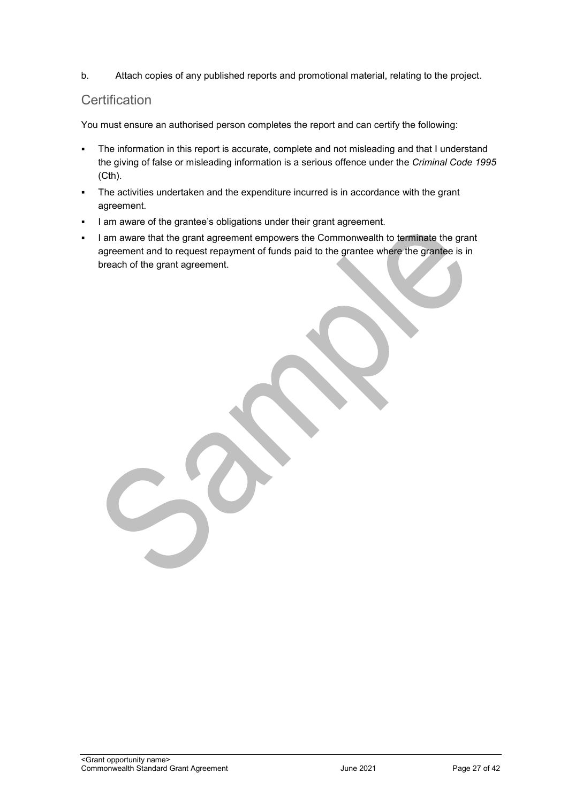b. Attach copies of any published reports and promotional material, relating to the project.

#### **Certification**

You must ensure an authorised person completes the report and can certify the following:

- The information in this report is accurate, complete and not misleading and that I understand the giving of false or misleading information is a serious offence under the *Criminal Code 1995* (Cth).
- The activities undertaken and the expenditure incurred is in accordance with the grant agreement.
- I am aware of the grantee's obligations under their grant agreement.
- I am aware that the grant agreement empowers the Commonwealth to terminate the grant agreement and to request repayment of funds paid to the grantee where the grantee is in breach of the grant agreement.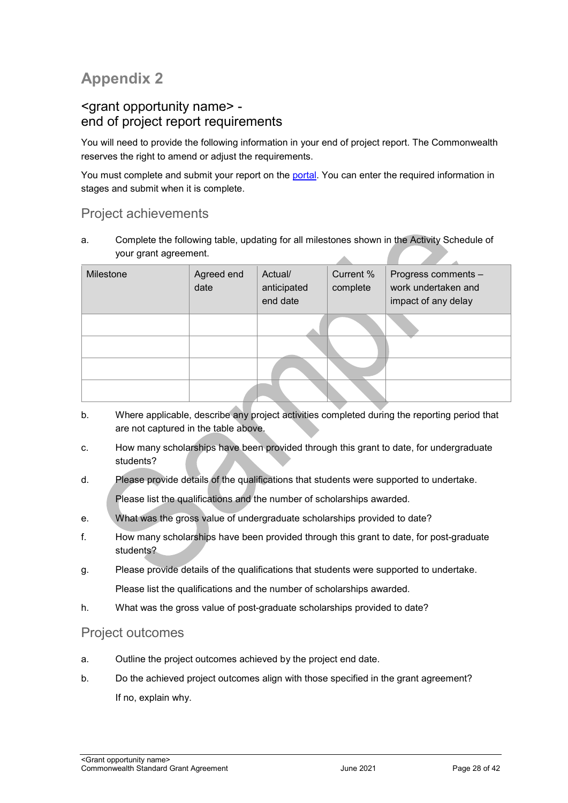## **Appendix 2**

#### <grant opportunity name> end of project report requirements

You will need to provide the following information in your end of project report. The Commonwealth reserves the right to amend or adjust the requirements.

You must complete and submit your report on the [portal.](https://portal.business.gov.au/) You can enter the required information in stages and submit when it is complete.

#### Project achievements

a. Complete the following table, updating for all milestones shown in the Activity Schedule of your grant agreement. A

| Milestone | Agreed end<br>date | Actual/<br>anticipated<br>end date | Current %<br>complete | Progress comments -<br>work undertaken and<br>impact of any delay |
|-----------|--------------------|------------------------------------|-----------------------|-------------------------------------------------------------------|
|           |                    |                                    |                       |                                                                   |
|           |                    |                                    |                       |                                                                   |
|           |                    |                                    |                       |                                                                   |
|           |                    |                                    |                       |                                                                   |

- b. Where applicable, describe any project activities completed during the reporting period that are not captured in the table above.
- c. How many scholarships have been provided through this grant to date, for undergraduate students?
- d. Please provide details of the qualifications that students were supported to undertake. Please list the qualifications and the number of scholarships awarded.
- e. What was the gross value of undergraduate scholarships provided to date?
- f. How many scholarships have been provided through this grant to date, for post-graduate students?
- g. Please provide details of the qualifications that students were supported to undertake. Please list the qualifications and the number of scholarships awarded.
- h. What was the gross value of post-graduate scholarships provided to date?

#### Project outcomes

- a. Outline the project outcomes achieved by the project end date.
- b. Do the achieved project outcomes align with those specified in the grant agreement? If no, explain why.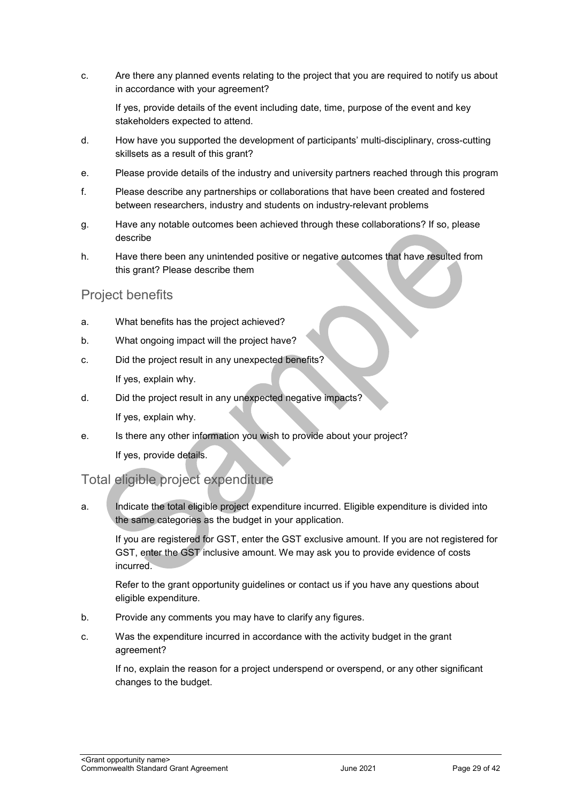c. Are there any planned events relating to the project that you are required to notify us about in accordance with your agreement?

If yes, provide details of the event including date, time, purpose of the event and key stakeholders expected to attend.

- d. How have you supported the development of participants' multi-disciplinary, cross-cutting skillsets as a result of this grant?
- e. Please provide details of the industry and university partners reached through this program
- f. Please describe any partnerships or collaborations that have been created and fostered between researchers, industry and students on industry-relevant problems
- g. Have any notable outcomes been achieved through these collaborations? If so, please describe
- h. Have there been any unintended positive or negative outcomes that have resulted from this grant? Please describe them

#### Project benefits

- a. What benefits has the project achieved?
- b. What ongoing impact will the project have?
- c. Did the project result in any unexpected benefits? If yes, explain why.
- d. Did the project result in any unexpected negative impacts? If yes, explain why.
- e. Is there any other information you wish to provide about your project? If yes, provide details.

#### Total eligible project expenditure

a. Indicate the total eligible project expenditure incurred. Eligible expenditure is divided into the same categories as the budget in your application.

If you are registered for GST, enter the GST exclusive amount. If you are not registered for GST, enter the GST inclusive amount. We may ask you to provide evidence of costs incurred.

Refer to the grant opportunity guidelines or contact us if you have any questions about eligible expenditure.

- b. Provide any comments you may have to clarify any figures.
- c. Was the expenditure incurred in accordance with the activity budget in the grant agreement?

If no, explain the reason for a project underspend or overspend, or any other significant changes to the budget.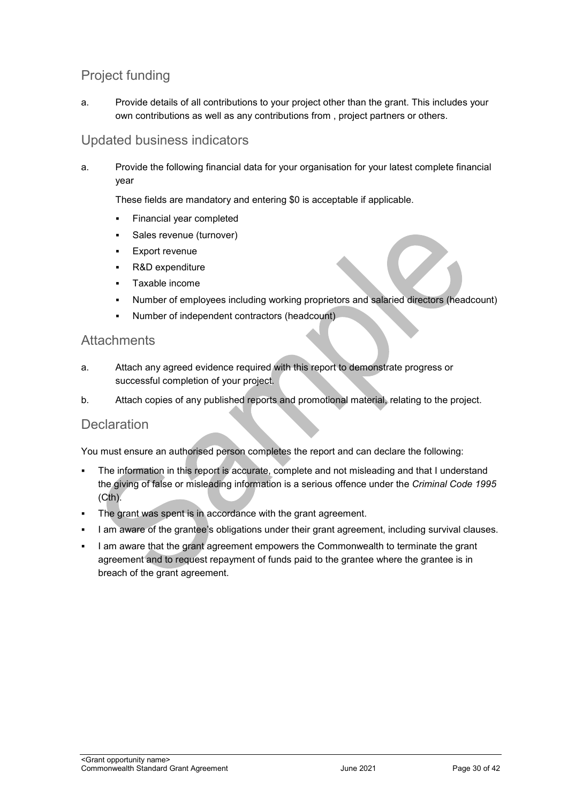## Project funding

a. Provide details of all contributions to your project other than the grant. This includes your own contributions as well as any contributions from , project partners or others.

#### Updated business indicators

a. Provide the following financial data for your organisation for your latest complete financial year

These fields are mandatory and entering \$0 is acceptable if applicable.

- Financial year completed
- Sales revenue (turnover)
- **Export revenue**
- R&D expenditure
- Taxable income
- Number of employees including working proprietors and salaried directors (headcount)
- Number of independent contractors (headcount)

#### **Attachments**

- a. Attach any agreed evidence required with this report to demonstrate progress or successful completion of your project.
- b. Attach copies of any published reports and promotional material, relating to the project.

#### **Declaration**

You must ensure an authorised person completes the report and can declare the following:

- The information in this report is accurate, complete and not misleading and that I understand the giving of false or misleading information is a serious offence under the *Criminal Code 1995*  $(Cth)$ .
- The grant was spent is in accordance with the grant agreement.
- I am aware of the grantee's obligations under their grant agreement, including survival clauses.
- I am aware that the grant agreement empowers the Commonwealth to terminate the grant agreement and to request repayment of funds paid to the grantee where the grantee is in breach of the grant agreement.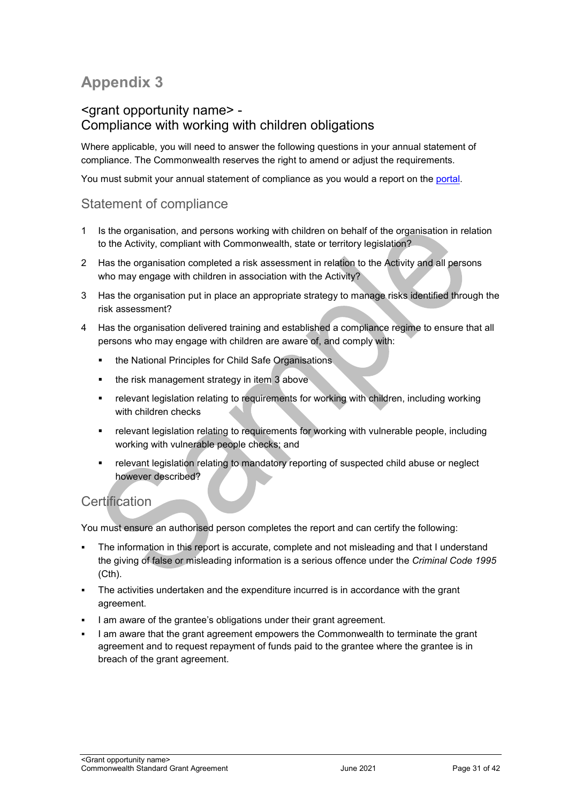## **Appendix 3**

#### <grant opportunity name> - Compliance with working with children obligations

Where applicable, you will need to answer the following questions in your annual statement of compliance. The Commonwealth reserves the right to amend or adjust the requirements.

You must submit your annual statement of compliance as you would a report on the [portal.](https://portal.business.gov.au/)

#### Statement of compliance

- 1 Is the organisation, and persons working with children on behalf of the organisation in relation to the Activity, compliant with Commonwealth, state or territory legislation?
- 2 Has the organisation completed a risk assessment in relation to the Activity and all persons who may engage with children in association with the Activity?
- 3 Has the organisation put in place an appropriate strategy to manage risks identified through the risk assessment?
- 4 Has the organisation delivered training and established a compliance regime to ensure that all persons who may engage with children are aware of, and comply with:
	- **the National Principles for Child Safe Organisations**
	- the risk management strategy in item 3 above
	- relevant legislation relating to requirements for working with children, including working with children checks
	- relevant legislation relating to requirements for working with vulnerable people, including working with vulnerable people checks; and
	- relevant legislation relating to mandatory reporting of suspected child abuse or neglect however described?

## **Certification**

You must ensure an authorised person completes the report and can certify the following:

- The information in this report is accurate, complete and not misleading and that I understand the giving of false or misleading information is a serious offence under the *Criminal Code 1995* (Cth).
- The activities undertaken and the expenditure incurred is in accordance with the grant agreement.
- I am aware of the grantee's obligations under their grant agreement.
- I am aware that the grant agreement empowers the Commonwealth to terminate the grant agreement and to request repayment of funds paid to the grantee where the grantee is in breach of the grant agreement.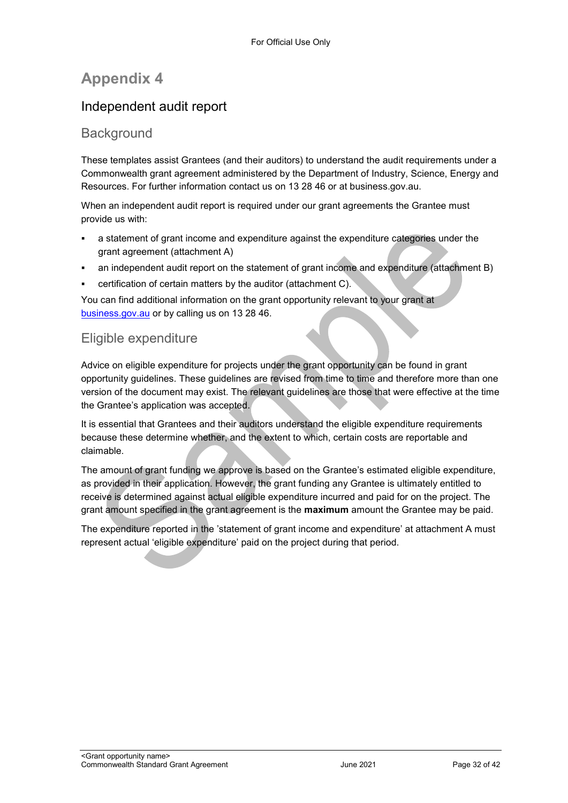## **Appendix 4**

## Independent audit report

#### Background

These templates assist Grantees (and their auditors) to understand the audit requirements under a Commonwealth grant agreement administered by the Department of Industry, Science, Energy and Resources. For further information contact us on 13 28 46 or at business.gov.au.

When an independent audit report is required under our grant agreements the Grantee must provide us with:

- a statement of grant income and expenditure against the expenditure categories under the grant agreement (attachment A)
- an independent audit report on the statement of grant income and expenditure (attachment B)
- certification of certain matters by the auditor (attachment C).

You can find additional information on the grant opportunity relevant to your grant at [business.gov.au](https://www.business.gov.au/) or by calling us on 13 28 46.

#### Eligible expenditure

Advice on eligible expenditure for projects under the grant opportunity can be found in grant opportunity guidelines. These guidelines are revised from time to time and therefore more than one version of the document may exist. The relevant guidelines are those that were effective at the time the Grantee's application was accepted.

It is essential that Grantees and their auditors understand the eligible expenditure requirements because these determine whether, and the extent to which, certain costs are reportable and claimable.

The amount of grant funding we approve is based on the Grantee's estimated eligible expenditure, as provided in their application. However, the grant funding any Grantee is ultimately entitled to receive is determined against actual eligible expenditure incurred and paid for on the project. The grant amount specified in the grant agreement is the **maximum** amount the Grantee may be paid.

The expenditure reported in the 'statement of grant income and expenditure' at attachment A must represent actual 'eligible expenditure' paid on the project during that period.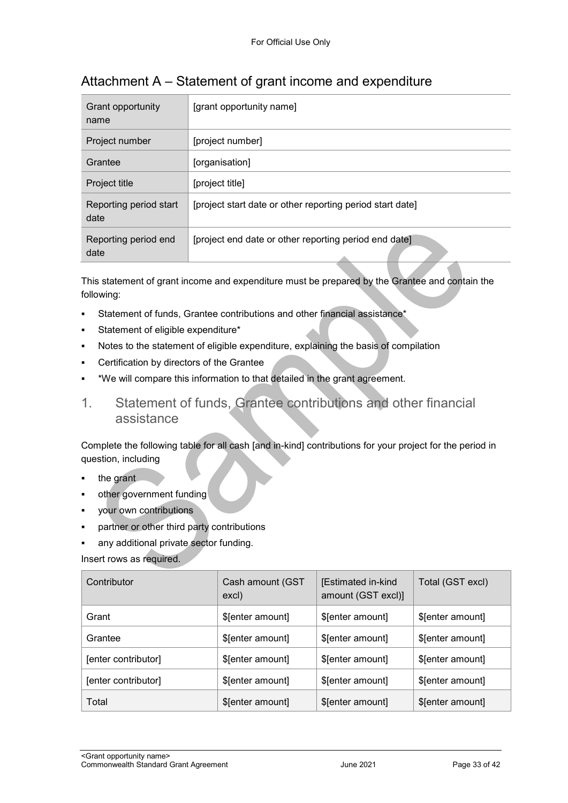| Grant opportunity<br>name      | [grant opportunity name]                                               |
|--------------------------------|------------------------------------------------------------------------|
| Project number                 | [project number]                                                       |
| Grantee                        | [organisation]                                                         |
| Project title                  | [project title]                                                        |
| Reporting period start<br>date | [project start date or other reporting period start date]              |
| Reporting period end<br>date   | [project end date or other reporting period end date]<br>$\rightarrow$ |

## Attachment A – Statement of grant income and expenditure

This statement of grant income and expenditure must be prepared by the Grantee and contain the following:

- Statement of funds, Grantee contributions and other financial assistance\*
- Statement of eligible expenditure\*
- Notes to the statement of eligible expenditure, explaining the basis of compilation
- Certification by directors of the Grantee
- \*We will compare this information to that detailed in the grant agreement.
- 1. Statement of funds, Grantee contributions and other financial assistance

Complete the following table for all cash [and in-kind] contributions for your project for the period in question, including

- the grant
- other government funding
- your own contributions
- partner or other third party contributions
- any additional private sector funding.

Insert rows as required.

| Contributor         | Cash amount (GST<br>excl) | [Estimated in-kind<br>amount (GST excl)] | Total (GST excl) |
|---------------------|---------------------------|------------------------------------------|------------------|
| Grant               | \$[enter amount]          | \$[enter amount]                         | \$[enter amount] |
| Grantee             | \$[enter amount]          | \$[enter amount]                         | \$[enter amount] |
| [enter contributor] | \$[enter amount]          | \$[enter amount]                         | \$[enter amount] |
| [enter contributor] | \$[enter amount]          | \$[enter amount]                         | \$[enter amount] |
| Total               | \$[enter amount]          | \$[enter amount]                         | \$[enter amount] |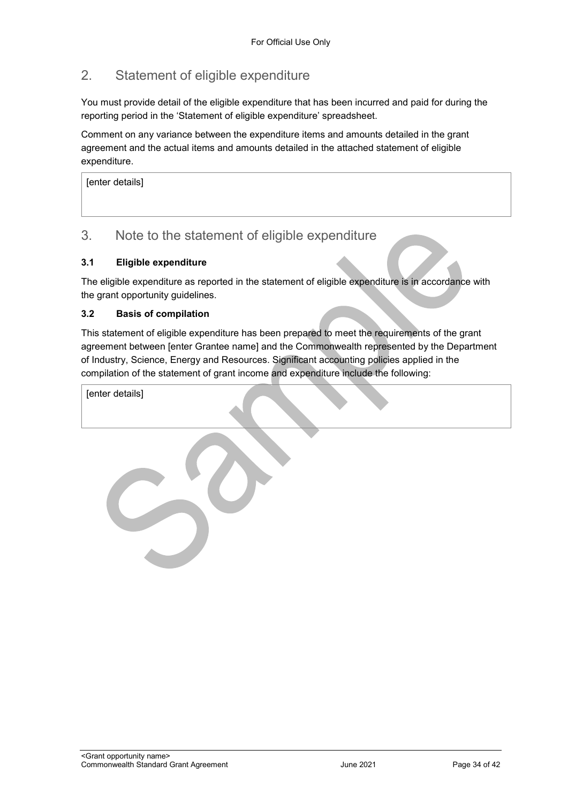## 2. Statement of eligible expenditure

You must provide detail of the eligible expenditure that has been incurred and paid for during the reporting period in the 'Statement of eligible expenditure' spreadsheet.

Comment on any variance between the expenditure items and amounts detailed in the grant agreement and the actual items and amounts detailed in the attached statement of eligible expenditure.

[enter details]

#### 3. Note to the statement of eligible expenditure

#### **3.1 Eligible expenditure**

The eligible expenditure as reported in the statement of eligible expenditure is in accordance with the grant opportunity guidelines.

#### **3.2 Basis of compilation**

This statement of eligible expenditure has been prepared to meet the requirements of the grant agreement between [enter Grantee name] and the Commonwealth represented by the Department of Industry, Science, Energy and Resources. Significant accounting policies applied in the compilation of the statement of grant income and expenditure include the following:

[enter details]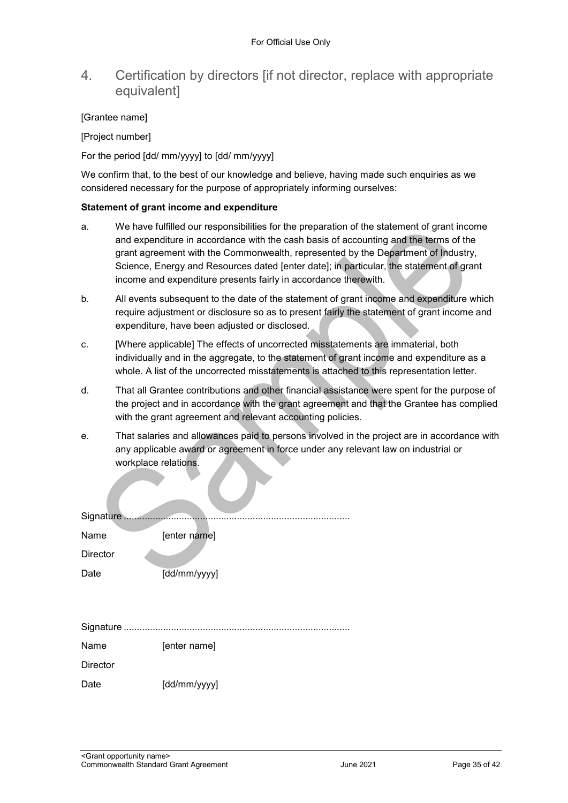#### 4. Certification by directors [if not director, replace with appropriate equivalent]

#### [Grantee name]

[Project number]

For the period [dd/ mm/yyyy] to [dd/ mm/yyyy]

We confirm that, to the best of our knowledge and believe, having made such enquiries as we considered necessary for the purpose of appropriately informing ourselves:

#### **Statement of grant income and expenditure**

- a. We have fulfilled our responsibilities for the preparation of the statement of grant income and expenditure in accordance with the cash basis of accounting and the terms of the grant agreement with the Commonwealth, represented by the Department of Industry, Science, Energy and Resources dated [enter date]; in particular, the statement of grant income and expenditure presents fairly in accordance therewith.
- b. All events subsequent to the date of the statement of grant income and expenditure which require adjustment or disclosure so as to present fairly the statement of grant income and expenditure, have been adjusted or disclosed.
- c. [Where applicable] The effects of uncorrected misstatements are immaterial, both individually and in the aggregate, to the statement of grant income and expenditure as a whole. A list of the uncorrected misstatements is attached to this representation letter.
- d. That all Grantee contributions and other financial assistance were spent for the purpose of the project and in accordance with the grant agreement and that the Grantee has complied with the grant agreement and relevant accounting policies.
- e. That salaries and allowances paid to persons involved in the project are in accordance with any applicable award or agreement in force under any relevant law on industrial or workplace relations.

| Signature       |              |
|-----------------|--------------|
| Name            | [enter name] |
| <b>Director</b> |              |
| Date            | [dd/mm/yyyy] |
|                 |              |
|                 |              |
|                 |              |
| Name            | [enter name] |
| <b>Director</b> |              |
| Date            | [dd/mm/yyyy] |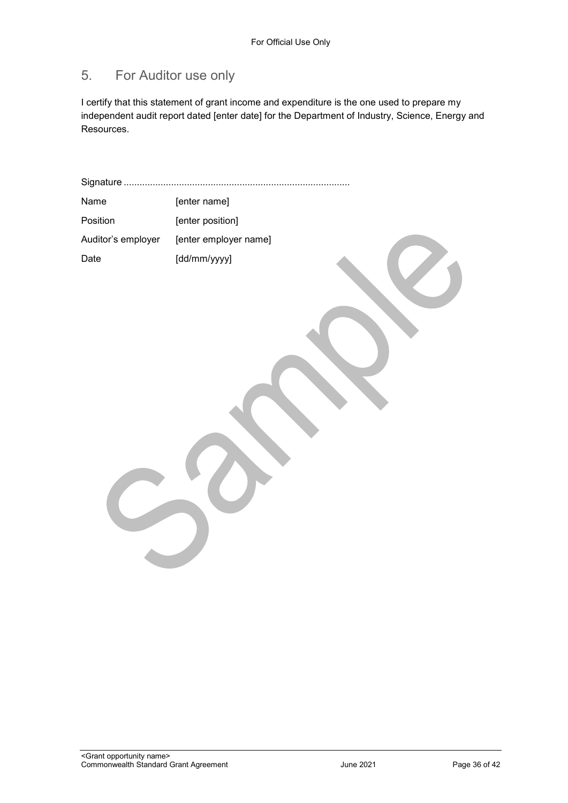## 5. For Auditor use only

I certify that this statement of grant income and expenditure is the one used to prepare my independent audit report dated [enter date] for the Department of Industry, Science, Energy and Resources.

| Signature          |                       |
|--------------------|-----------------------|
| Name               | [enter name]          |
| Position           | [enter position]      |
| Auditor's employer | [enter employer name] |
| Date               | [dd/mm/yyyy]          |
|                    |                       |
|                    |                       |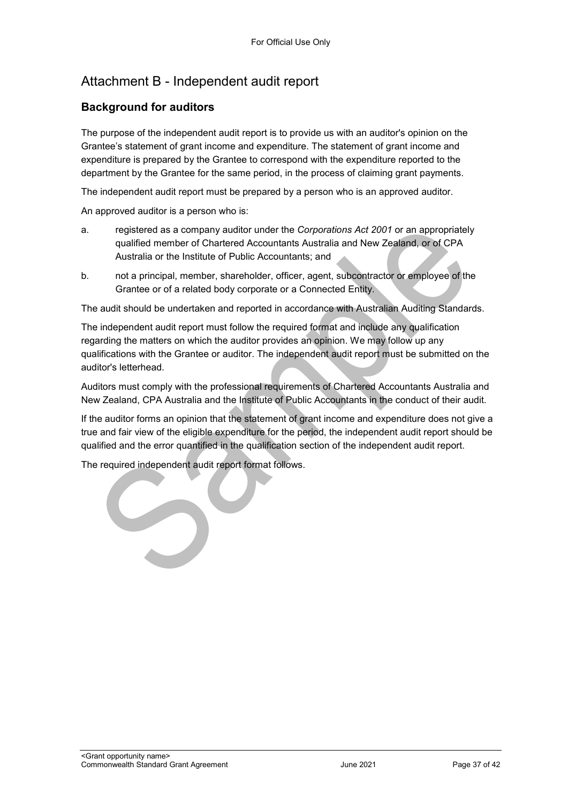## Attachment B - Independent audit report

#### **Background for auditors**

The purpose of the independent audit report is to provide us with an auditor's opinion on the Grantee's statement of grant income and expenditure. The statement of grant income and expenditure is prepared by the Grantee to correspond with the expenditure reported to the department by the Grantee for the same period, in the process of claiming grant payments.

The independent audit report must be prepared by a person who is an approved auditor.

An approved auditor is a person who is:

- a. registered as a company auditor under the *Corporations Act 2001* or an appropriately qualified member of Chartered Accountants Australia and New Zealand, or of CPA Australia or the Institute of Public Accountants; and
- b. not a principal, member, shareholder, officer, agent, subcontractor or employee of the Grantee or of a related body corporate or a Connected Entity.

The audit should be undertaken and reported in accordance with Australian Auditing Standards.

The independent audit report must follow the required format and include any qualification regarding the matters on which the auditor provides an opinion. We may follow up any qualifications with the Grantee or auditor. The independent audit report must be submitted on the auditor's letterhead.

Auditors must comply with the professional requirements of Chartered Accountants Australia and New Zealand, CPA Australia and the Institute of Public Accountants in the conduct of their audit.

If the auditor forms an opinion that the statement of grant income and expenditure does not give a true and fair view of the eligible expenditure for the period, the independent audit report should be qualified and the error quantified in the qualification section of the independent audit report.

The required independent audit report format follows.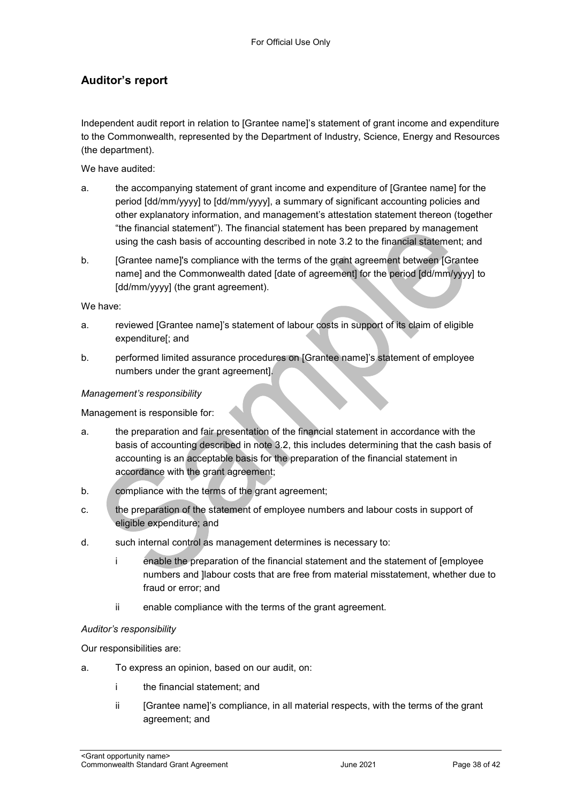#### **Auditor's report**

Independent audit report in relation to [Grantee name]'s statement of grant income and expenditure to the Commonwealth, represented by the Department of Industry, Science, Energy and Resources (the department).

We have audited:

- a. the accompanying statement of grant income and expenditure of [Grantee name] for the period [dd/mm/yyyy] to [dd/mm/yyyy], a summary of significant accounting policies and other explanatory information, and management's attestation statement thereon (together "the financial statement"). The financial statement has been prepared by management using the cash basis of accounting described in note 3.2 to the financial statement; and
- b. [Grantee name]'s compliance with the terms of the grant agreement between [Grantee name] and the Commonwealth dated [date of agreement] for the period [dd/mm/yyyy] to [dd/mm/yyyy] (the grant agreement).

We have:

- a. reviewed [Grantee name]'s statement of labour costs in support of its claim of eligible expenditure[; and
- b. performed limited assurance procedures on [Grantee name]'s statement of employee numbers under the grant agreement].

#### *Management's responsibility*

Management is responsible for:

- a. the preparation and fair presentation of the financial statement in accordance with the basis of accounting described in note 3.2, this includes determining that the cash basis of accounting is an acceptable basis for the preparation of the financial statement in accordance with the grant agreement;
- b. compliance with the terms of the grant agreement;
- c. the preparation of the statement of employee numbers and labour costs in support of eligible expenditure; and
- d. such internal control as management determines is necessary to:
	- i enable the preparation of the financial statement and the statement of [employee numbers and ]labour costs that are free from material misstatement, whether due to fraud or error; and
	- ii enable compliance with the terms of the grant agreement.

#### *Auditor's responsibility*

Our responsibilities are:

- a. To express an opinion, based on our audit, on:
	- i the financial statement; and
	- ii [Grantee name]'s compliance, in all material respects, with the terms of the grant agreement; and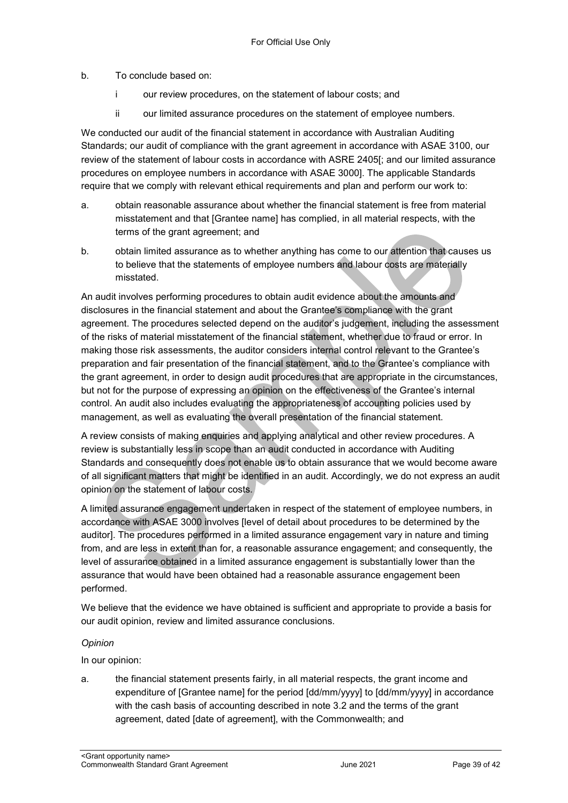#### b. To conclude based on:

- i our review procedures, on the statement of labour costs; and
- ii our limited assurance procedures on the statement of employee numbers.

We conducted our audit of the financial statement in accordance with Australian Auditing Standards; our audit of compliance with the grant agreement in accordance with ASAE 3100, our review of the statement of labour costs in accordance with ASRE 2405[; and our limited assurance procedures on employee numbers in accordance with ASAE 3000]. The applicable Standards require that we comply with relevant ethical requirements and plan and perform our work to:

- a. obtain reasonable assurance about whether the financial statement is free from material misstatement and that [Grantee name] has complied, in all material respects, with the terms of the grant agreement; and
- b. obtain limited assurance as to whether anything has come to our attention that causes us to believe that the statements of employee numbers and labour costs are materially misstated.

An audit involves performing procedures to obtain audit evidence about the amounts and disclosures in the financial statement and about the Grantee's compliance with the grant agreement. The procedures selected depend on the auditor's judgement, including the assessment of the risks of material misstatement of the financial statement, whether due to fraud or error. In making those risk assessments, the auditor considers internal control relevant to the Grantee's preparation and fair presentation of the financial statement, and to the Grantee's compliance with the grant agreement, in order to design audit procedures that are appropriate in the circumstances, but not for the purpose of expressing an opinion on the effectiveness of the Grantee's internal control. An audit also includes evaluating the appropriateness of accounting policies used by management, as well as evaluating the overall presentation of the financial statement.

A review consists of making enquiries and applying analytical and other review procedures. A review is substantially less in scope than an audit conducted in accordance with Auditing Standards and consequently does not enable us to obtain assurance that we would become aware of all significant matters that might be identified in an audit. Accordingly, we do not express an audit opinion on the statement of labour costs.

A limited assurance engagement undertaken in respect of the statement of employee numbers, in accordance with ASAE 3000 involves [level of detail about procedures to be determined by the auditor]. The procedures performed in a limited assurance engagement vary in nature and timing from, and are less in extent than for, a reasonable assurance engagement; and consequently, the level of assurance obtained in a limited assurance engagement is substantially lower than the assurance that would have been obtained had a reasonable assurance engagement been performed.

We believe that the evidence we have obtained is sufficient and appropriate to provide a basis for our audit opinion, review and limited assurance conclusions.

#### *Opinion*

In our opinion:

a. the financial statement presents fairly, in all material respects, the grant income and expenditure of [Grantee name] for the period [dd/mm/yyyy] to [dd/mm/yyyy] in accordance with the cash basis of accounting described in note 3.2 and the terms of the grant agreement, dated [date of agreement], with the Commonwealth; and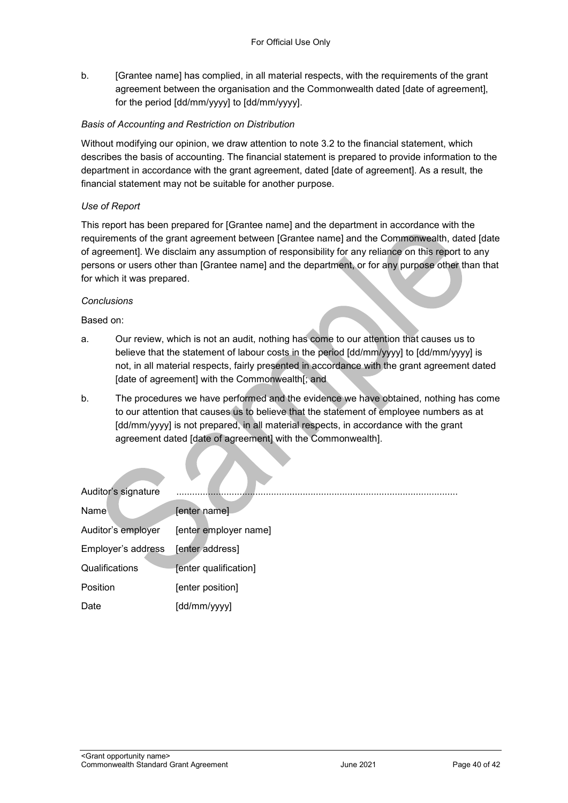b. [Grantee name] has complied, in all material respects, with the requirements of the grant agreement between the organisation and the Commonwealth dated [date of agreement], for the period [dd/mm/yyyy] to [dd/mm/yyyy].

#### *Basis of Accounting and Restriction on Distribution*

Without modifying our opinion, we draw attention to note 3.2 to the financial statement, which describes the basis of accounting. The financial statement is prepared to provide information to the department in accordance with the grant agreement, dated [date of agreement]. As a result, the financial statement may not be suitable for another purpose.

#### *Use of Report*

This report has been prepared for [Grantee name] and the department in accordance with the requirements of the grant agreement between [Grantee name] and the Commonwealth, dated [date of agreement]. We disclaim any assumption of responsibility for any reliance on this report to any persons or users other than [Grantee name] and the department, or for any purpose other than that for which it was prepared.

#### *Conclusions*

Based on:

- a. Our review, which is not an audit, nothing has come to our attention that causes us to believe that the statement of labour costs in the period [dd/mm/yyyy] to [dd/mm/yyyy] is not, in all material respects, fairly presented in accordance with the grant agreement dated [date of agreement] with the Commonwealth[; and
- b. The procedures we have performed and the evidence we have obtained, nothing has come to our attention that causes us to believe that the statement of employee numbers as at [dd/mm/yyyy] is not prepared, in all material respects, in accordance with the grant agreement dated [date of agreement] with the Commonwealth].

| Auditor's signature |                       |
|---------------------|-----------------------|
| <b>Name</b>         | [enter name]          |
| Auditor's employer  | [enter employer name] |
| Employer's address  | [enter address]       |
| Qualifications      | [enter qualification] |
| Position            | [enter position]      |
| Date                | [dd/mm/yyyy]          |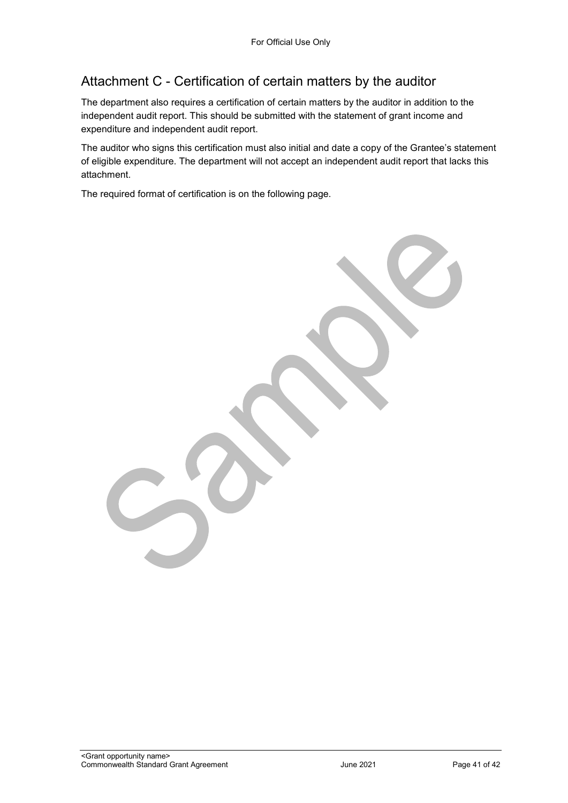## Attachment C - Certification of certain matters by the auditor

The department also requires a certification of certain matters by the auditor in addition to the independent audit report. This should be submitted with the statement of grant income and expenditure and independent audit report.

The auditor who signs this certification must also initial and date a copy of the Grantee's statement of eligible expenditure. The department will not accept an independent audit report that lacks this attachment.

The required format of certification is on the following page.